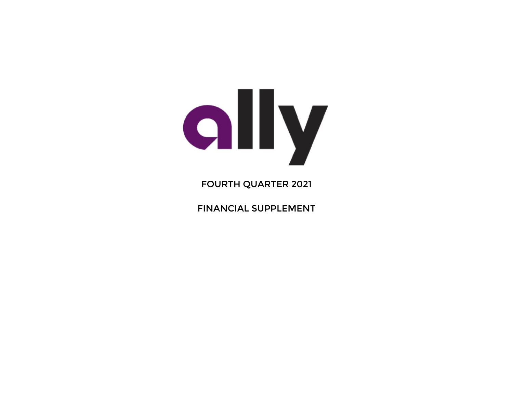

# FOURTH QUARTER 2021

FINANCIAL SUPPLEMENT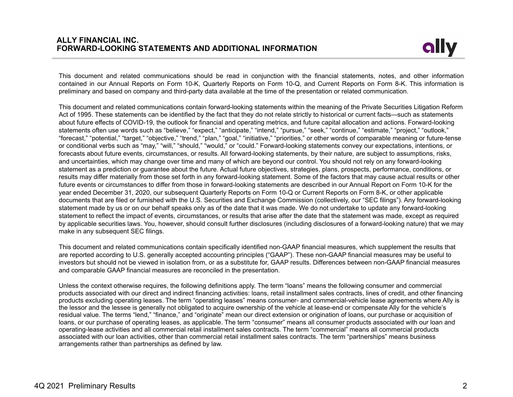

This document and related communications should be read in conjunction with the financial statements, notes, and other information contained in our Annual Reports on Form 10-K, Quarterly Reports on Form 10-Q, and Current Reports on Form 8-K. This information is preliminary and based on company and third-party data available at the time of the presentation or related communication.

This document and related communications contain forward-looking statements within the meaning of the Private Securities Litigation Reform Act of 1995. These statements can be identified by the fact that they do not relate strictly to historical or current facts—such as statements about future effects of COVID-19, the outlook for financial and operating metrics, and future capital allocation and actions. Forward-looking statements often use words such as "believe," "expect," "anticipate," "intend," "pursue," "seek," "continue," "estimate," "project," "outlook," "forecast," "potential," "target," "objective," "trend," "plan," "goal," "initiative," "priorities," or other words of comparable meaning or future-tense or conditional verbs such as "may," "will," "should," "would," or "could." Forward-looking statements convey our expectations, intentions, or forecasts about future events, circumstances, or results. All forward-looking statements, by their nature, are subject to assumptions, risks, and uncertainties, which may change over time and many of which are beyond our control. You should not rely on any forward-looking statement as a prediction or guarantee about the future. Actual future objectives, strategies, plans, prospects, performance, conditions, or results may differ materially from those set forth in any forward-looking statement. Some of the factors that may cause actual results or other future events or circumstances to differ from those in forward-looking statements are described in our Annual Report on Form 10-K for the year ended December 31, 2020, our subsequent Quarterly Reports on Form 10-Q or Current Reports on Form 8-K, or other applicable documents that are filed or furnished with the U.S. Securities and Exchange Commission (collectively, our "SEC filings"). Any forward-looking statement made by us or on our behalf speaks only as of the date that it was made. We do not undertake to update any forward-looking statement to reflect the impact of events, circumstances, or results that arise after the date that the statement was made, except as required by applicable securities laws. You, however, should consult further disclosures (including disclosures of a forward-looking nature) that we may make in any subsequent SEC filings.

This document and related communications contain specifically identified non-GAAP financial measures, which supplement the results that are reported according to U.S. generally accepted accounting principles ("GAAP"). These non-GAAP financial measures may be useful to investors but should not be viewed in isolation from, or as a substitute for, GAAP results. Differences between non-GAAP financial measures and comparable GAAP financial measures are reconciled in the presentation.

Unless the context otherwise requires, the following definitions apply. The term "loans" means the following consumer and commercial products associated with our direct and indirect financing activities: loans, retail installment sales contracts, lines of credit, and other financing products excluding operating leases. The term "operating leases" means consumer- and commercial-vehicle lease agreements where Ally is the lessor and the lessee is generally not obligated to acquire ownership of the vehicle at lease-end or compensate Ally for the vehicle's residual value. The terms "lend," "finance," and "originate" mean our direct extension or origination of loans, our purchase or acquisition of loans, or our purchase of operating leases, as applicable. The term "consumer" means all consumer products associated with our loan and operating-lease activities and all commercial retail installment sales contracts. The term "commercial" means all commercial products associated with our loan activities, other than commercial retail installment sales contracts. The term "partnerships" means business arrangements rather than partnerships as defined by law.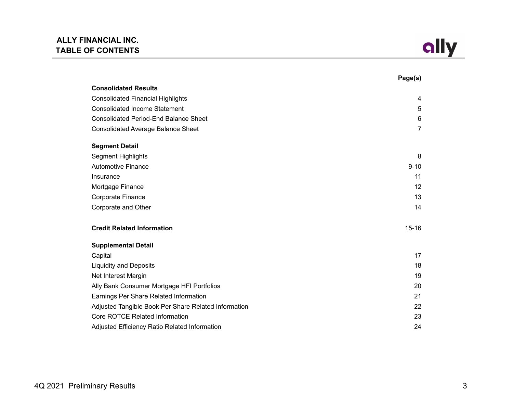

|                                                      | Page(s)        |
|------------------------------------------------------|----------------|
| <b>Consolidated Results</b>                          |                |
| <b>Consolidated Financial Highlights</b>             | 4              |
| <b>Consolidated Income Statement</b>                 | 5              |
| <b>Consolidated Period-End Balance Sheet</b>         | 6              |
| <b>Consolidated Average Balance Sheet</b>            | $\overline{7}$ |
| <b>Segment Detail</b>                                |                |
| <b>Segment Highlights</b>                            | 8              |
| <b>Automotive Finance</b>                            | $9 - 10$       |
| Insurance                                            | 11             |
| Mortgage Finance                                     | 12             |
| <b>Corporate Finance</b>                             | 13             |
| Corporate and Other                                  | 14             |
| <b>Credit Related Information</b>                    | $15 - 16$      |
| <b>Supplemental Detail</b>                           |                |
| Capital                                              | 17             |
| <b>Liquidity and Deposits</b>                        | 18             |
| Net Interest Margin                                  | 19             |
| Ally Bank Consumer Mortgage HFI Portfolios           | 20             |
| Earnings Per Share Related Information               | 21             |
| Adjusted Tangible Book Per Share Related Information | 22             |
| Core ROTCE Related Information                       | 23             |
| Adjusted Efficiency Ratio Related Information        | 24             |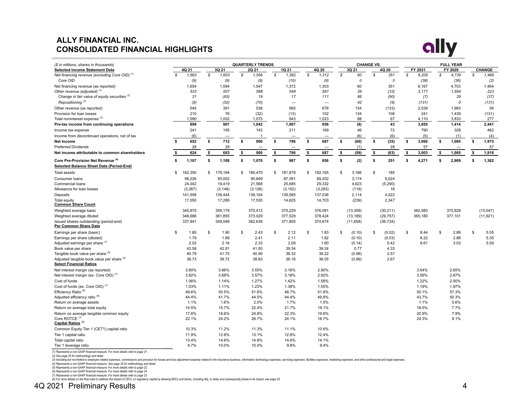## **ALLY FINANCIAL INC. CONSOLIDATED FINANCIAL HIGHLIGHTS**



| (\$ in millions, shares in thousands)                                        |               |          |               | <b>QUARTERLY TRENDS</b> |    |                          |               |               | <b>CHANGE VS.</b> |    |           |    |         |             | <b>FULL YEAR</b> |               |
|------------------------------------------------------------------------------|---------------|----------|---------------|-------------------------|----|--------------------------|---------------|---------------|-------------------|----|-----------|----|---------|-------------|------------------|---------------|
| <b>Selected Income Statement Data</b>                                        |               | 4Q 21    | 3Q 21         | 2Q 21                   |    | 1Q 21                    | 4Q 20         |               | 3Q 21             |    | 4Q 20     |    | FY 2021 |             | FY 2020          | <b>CHANGE</b> |
| Net financing revenue (excluding Core OID) <sup>(1)</sup>                    | $\mathcal{S}$ | 1,663    | \$<br>1,603   | \$<br>1,556             | \$ | 1,382                    | \$<br>1,312   | $\mathcal{S}$ | 60                | S  | 351       | S  | 6,205   | $\mathbb S$ | 4,739            | \$<br>1,466   |
| Core OID                                                                     |               | (9)      | (9)           | (9)                     |    | (10)                     | (9)           |               | $\theta$          |    | $\cal O$  |    | (38)    |             | (36)             | (2)           |
| Net financing revenue (as reported)                                          |               | 1,654    | 1,594         | 1,547                   |    | 1,372                    | 1,303         |               | 60                |    | 351       |    | 6,167   |             | 4,703            | 1,464         |
| Other revenue (adjusted) <sup>(1)</sup>                                      |               | 533      | 507           | 588                     |    | 548                      | 567           |               | 26                |    | (33)      |    | 2.177   |             | 1,954            | 223           |
| Change in fair value of equity securities (2)                                |               | 21       | (65)          | 19                      |    | 17                       | 111           |               | 86                |    | (90)      |    | (7)     |             | 29               | (37)          |
| Repositioning <sup>(2)</sup>                                                 |               | (9)      | (52)          | (70)                    |    | $\overline{\phantom{0}}$ |               |               | 42                |    | (9)       |    | (131)   |             | $\mathcal O$     | (131)         |
| Other revenue (as reported)                                                  |               | 545      | 391           | 538                     |    | 565                      | 678           |               | 154               |    | (133)     |    | 2,039   |             | 1,983            | 56            |
| Provision for loan losses                                                    |               | 210      | 76            | (32)                    |    | (13)                     | 102           |               | 134               |    | 108       |    | 241     |             | 1,439            | (131)         |
| Total noninterest expense <sup>(3)</sup>                                     |               | 1,090    | 1,002         | 1,075                   |    | 943                      | 1,023         |               | 88                |    | 67        |    | 4,110   |             | 3,833            | 277           |
| Pre-tax income from continuing operations                                    |               | 899      | 907           | 1.042                   |    | 1,007                    | 856           |               | (8)               |    | 43        |    | 3.855   |             | 1,414            | 2.441         |
| Income tax expense                                                           |               | 241      | 195           | 143                     |    | 211                      | 169           |               | 46                |    | 72        |    | 790     |             | 328              | 462           |
| Income from discontinued operations, net of tax                              |               | (6)      |               |                         |    |                          |               |               | (6)               |    | (6)       |    | (5)     |             | (1)              | (4)           |
| <b>Net Income</b>                                                            | s.            | 652      | \$<br>712     | \$<br>900               | \$ | 796                      | \$<br>687     | \$            | (60)              | \$ | (35)      | \$ | 3,060   | \$          | 1,085            | \$<br>1,975   |
| <b>Preferred Dividends</b>                                                   |               | 28       | 29            |                         |    |                          |               |               | (1)               |    | 28        |    | 57      |             |                  | 57            |
| Net income attributable to common shareholders                               | \$            | 624      | \$<br>683     | \$<br>900               | s. | 796                      | \$<br>687     | \$            | (59)              | \$ | (63)      | \$ | 3,003   | \$          | 1,085            | \$<br>1,918   |
| Core Pre-Provision Net Revenue (4)                                           | s.            | 1,107    | \$<br>1,108   | \$<br>1,070             | \$ | 987                      | \$<br>856     | \$            | (2)               | \$ | 251       | \$ | 4,271   | \$          | 2,909            | \$<br>1,362   |
| Selected Balance Sheet Data (Period-End)                                     |               |          |               |                         |    |                          |               |               |                   |    |           |    |         |             |                  |               |
| Total assets                                                                 | \$            | 182,350  | \$<br>179,184 | \$<br>180,470           | \$ | 181,879                  | \$<br>182,165 | \$            | 3,166             | \$ | 185       |    |         |             |                  |               |
| Consumer loans                                                               |               | 98,226   | 95,052        | 90,649                  |    | 87,391                   | 89,202        |               | 3,174             |    | 9,024     |    |         |             |                  |               |
| Commercial loans                                                             |               | 24,042   | 19,419        | 21,568                  |    | 25,685                   | 29,332        |               | 4,623             |    | (5, 290)  |    |         |             |                  |               |
| Allowance for loan losses                                                    |               | (3, 267) | (3, 148)      | (3, 126)                |    | (3, 152)                 | (3,283)       |               | (119)             |    | 16        |    |         |             |                  |               |
| Deposits                                                                     |               | 141,558  | 139,444       | 139,104                 |    | 139,585                  | 137,036       |               | 2,114             |    | 4,522     |    |         |             |                  |               |
| Total equity<br><b>Common Share Count</b>                                    |               | 17,050   | 17,289        | 17,530                  |    | 14,625                   | 14,703        |               | (239)             |    | 2,347     |    |         |             |                  |               |
| Weighted average basic                                                       |               | 345,870  | 359,179       | 370,412                 |    | 375,229                  | 376,081       |               | (13, 309)         |    | (30, 211) |    | 362,583 |             | 375,629          | (13,047)      |
| Weighted average diluted                                                     |               | 348,666  | 361,855       | 373,029                 |    | 377,529                  | 378,424       |               | (13, 189)         |    | (29, 757) |    | 365,180 |             | 377,101          | (11, 921)     |
| Issued shares outstanding (period-end)<br>Per Common Share Data              |               | 337,941  | 349,599       | 362,639                 |    | 371,805                  | 374,674       |               | (11,658)          |    | (36, 734) |    |         |             |                  |               |
| Earnings per share (basic)                                                   | \$            | 1.80     | \$<br>1.90    | \$<br>2.43              | \$ | 2.12                     | \$<br>1.83    | \$            | (0.10)            | \$ | (0.02)    | \$ | 8.44    | \$          | 2.89             | \$<br>5.55    |
| Earnings per share (diluted)                                                 |               | 1.79     | 1.89          | 2.41                    |    | 2.11                     | 1.82          |               | (0.10)            |    | (0.03)    |    | 8.22    |             | 2.88             | 5.35          |
| Adjusted earnings per share (1)                                              |               | 2.02     | 2.16          | 2.33                    |    | 2.09                     | 1.60          |               | (0.14)            |    | 0.42      |    | 8.61    |             | 3.03             | 5.59          |
| Book value per share                                                         |               | 43.58    | 42.81         | 41.93                   |    | 39.34                    | 39.24         |               | 0.77              |    | 4.33      |    |         |             |                  |               |
| Tangible book value per share (5)                                            |               | 40.79    | 41.75         | 40.90                   |    | 38.32                    | 38.22         |               | (0.96)            |    | 2.57      |    |         |             |                  |               |
| Adjusted tangible book value per share (5)<br><b>Select Financial Ratios</b> |               | 38.73    | 39.72         | 38.83                   |    | 36.16                    | 36.05         |               | (0.99)            |    | 2.67      |    |         |             |                  |               |
| Net interest margin (as reported)                                            |               | 3.80%    | 3.66%         | 3.55%                   |    | 3.16%                    | 2.90%         |               |                   |    |           |    | 3.54%   |             | 2.65%            |               |
| Net interest margin (ex. Core OID) <sup>(1)</sup>                            |               | 3.82%    | 3.68%         | 3.57%                   |    | 3.18%                    | 2.92%         |               |                   |    |           |    | 3.56%   |             | 2.67%            |               |
| Cost of funds                                                                |               | 1.06%    | 1.14%         | 1.27%                   |    | 1.42%                    | 1.58%         |               |                   |    |           |    | 1.22%   |             | 2.00%            |               |
| Cost of funds (ex. Core OID) <sup>(1)</sup>                                  |               | 1.03%    | 1.11%         | 1.23%                   |    | 1.38%                    | 1.55%         |               |                   |    |           |    | 1.19%   |             | 1.97%            |               |
| Efficiency Ratio <sup>(6)</sup>                                              |               | 49.6%    | 50.5%         | 51.6%                   |    | 48.7%                    | 51.6%         |               |                   |    |           |    | 50.1%   |             | 57.3%            |               |
| Adjusted efficiency ratio <sup>(6)</sup>                                     |               | 44.4%    | 41.7%         | 44.5%                   |    | 44.4%                    | 49.8%         |               |                   |    |           |    | 43.7%   |             | 50.3%            |               |
| Return on average assets                                                     |               | 1.1%     | 1.6%          | 2.0%                    |    | 1.7%                     | 1.5%          |               |                   |    |           |    | 1.1%    |             | 0.6%             |               |
| Return on average total equity                                               |               | 14.5%    | 15.7%         | 22.4%                   |    | 21.7%                    | 19.1%         |               |                   |    |           |    | 18.5%   |             | 7.7%             |               |
| Return on average tangible common equity                                     |               | 17.6%    | 18.6%         | 24.8%                   |    | 22.3%                    | 19.6%         |               |                   |    |           |    | 20.9%   |             | 7.9%             |               |
| Core ROTCE <sup>(7)</sup><br>Capital Ratios <sup>(8)</sup>                   |               | 22.1%    | 24.2%         | 26.7%                   |    | 24.1%                    | 18.7%         |               |                   |    |           |    | 24.3%   |             | 9.1%             |               |
| Common Equity Tier 1 (CET1) capital ratio                                    |               | 10.3%    | 11.2%         | 11.3%                   |    | 11.1%                    | 10.6%         |               |                   |    |           |    |         |             |                  |               |
| Tier 1 capital ratio                                                         |               | 11.9%    | 12.8%         | 13.1%                   |    | 12.8%                    | 12.4%         |               |                   |    |           |    |         |             |                  |               |
| Total capital ratio                                                          |               | 13.4%    | 14.6%         | 14.8%                   |    | 14.6%                    | 14.1%         |               |                   |    |           |    |         |             |                  |               |
| Tier 1 leverage ratio                                                        |               | 9.7%     | 10.0%         | 10.0%                   |    | 9.8%                     | 9.4%          |               |                   |    |           |    |         |             |                  |               |

*(1) Represents a non-GAAP financial measure. For more details refer to page 21.*

*(2) See page 25 for methodology and detail.*

(3) Including but not limited to employee related expenses, commissions and provision for losses and loss adjustment expense related to the insurance business, information technology expenses, servicing expenses, facilitie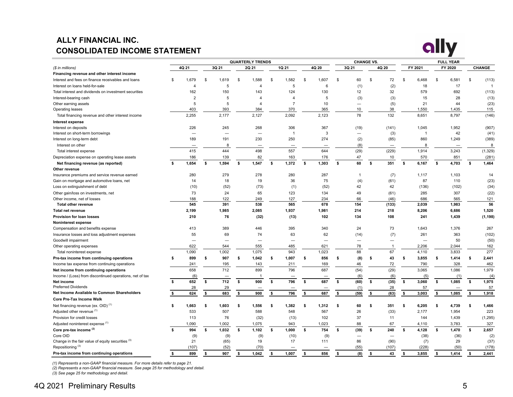# **ALLY FINANCIAL INC. CONSOLIDATED INCOME STATEMENT**



|                                                          |    |                          |     |                          |              | <b>QUARTERLY TRENDS</b>  |          |                          |              |            |    | <b>CHANGE VS.</b> |                    |                          |    |              |    | <b>FULL YEAR</b> |              |                |
|----------------------------------------------------------|----|--------------------------|-----|--------------------------|--------------|--------------------------|----------|--------------------------|--------------|------------|----|-------------------|--------------------|--------------------------|----|--------------|----|------------------|--------------|----------------|
| (\$ in millions)                                         |    | 4Q 21                    |     | 3Q 21                    |              | 2Q 21                    |          | 1Q 21                    |              | 4Q 20      |    | 3Q 21             |                    | 4Q 20                    |    | FY 2021      |    | FY 2020          |              | CHANGE         |
| Financing revenue and other interest income              |    |                          |     |                          |              |                          |          |                          |              |            |    |                   |                    |                          |    |              |    |                  |              |                |
| Interest and fees on finance receivables and loans       | \$ | 1,679                    | S   | 1,619                    | \$           | 1,588                    | <b>S</b> | 1,582                    | <b>S</b>     | 1,607      | \$ | 60                | \$                 | 72                       | \$ | 6,468        | \$ | 6,581            | \$           | (113)          |
| Interest on loans held-for-sale                          |    | $\overline{4}$           |     | 5                        |              | $\overline{4}$           |          | 5                        |              | 6          |    | (1)               |                    | (2)                      |    | 18           |    | 17               |              | $\overline{1}$ |
| Total interest and dividends on investment securities    |    | 162                      |     | 150                      |              | 143                      |          | 124                      |              | 130        |    | 12                |                    | 32                       |    | 579          |    | 692              |              | (113)          |
| Interest-bearing cash                                    |    | $\overline{2}$           |     | 5                        |              | $\boldsymbol{\Delta}$    |          | $\boldsymbol{\Delta}$    |              | $\sqrt{5}$ |    | (3)               |                    | (3)                      |    | 15           |    | 28               |              | (13)           |
| Other earning assets                                     |    | 5                        |     | 5                        |              | 4                        |          | $\overline{7}$           |              | 10         |    | -                 |                    | (5)                      |    | 21           |    | 44               |              | (23)           |
| Operating leases                                         |    | 403                      |     | 393                      |              | 384                      |          | 370                      |              | 365        |    | 10                |                    | 38                       |    | 1,550        |    | 1,435            |              | 115            |
| Total financing revenue and other interest income        |    | 2,255                    |     | 2,177                    |              | 2,127                    |          | 2,092                    |              | 2,123      |    | 78                |                    | 132                      |    | 8,651        |    | 8,797            |              | (146)          |
| Interest expense                                         |    |                          |     |                          |              |                          |          |                          |              |            |    |                   |                    |                          |    |              |    |                  |              |                |
| Interest on deposits                                     |    | 226                      |     | 245                      |              | 268                      |          | 306                      |              | 367        |    | (19)              |                    | (141)                    |    | 1,045        |    | 1,952            |              | (907)          |
| Interest on short-term borrowings                        |    | $\overline{\phantom{0}}$ |     | $\overline{\phantom{0}}$ |              | $\overline{\phantom{0}}$ |          | $\overline{1}$           |              | 3          |    | -                 |                    | (3)                      |    | $\mathbf{1}$ |    | 42               |              | (41)           |
| Interest on long-term debt                               |    | 189                      |     | 191                      |              | 230                      |          | 250                      |              | 274        |    | (2)               |                    | (85)                     |    | 860          |    | 1,249            |              | (389)          |
| Interest on other                                        |    |                          |     | 8                        |              |                          |          | -                        |              |            |    | (8)               |                    | $\overline{\phantom{0}}$ |    | 8            |    | -                |              | 8              |
| Total interest expense                                   |    | 415                      |     | 444                      |              | 498                      |          | 557                      |              | 644        |    | (29)              |                    | (229)                    |    | 1,914        |    | 3,243            |              | (1, 329)       |
| Depreciation expense on operating lease assets           |    | 186                      |     | 139                      |              | 82                       |          | 163                      |              | 176        |    | 47                |                    | 10                       |    | 570          |    | 851              |              | (281)          |
| Net financing revenue (as reported)                      | s. | 1,654                    | \$  | 1,594                    | $\mathbf{s}$ | 1,547                    | \$       | 1,372                    | $\mathbf{s}$ | 1,303      | \$ | 60                | \$                 | 351                      | \$ | 6,167        | \$ | 4,703            | \$           | 1,464          |
| Other revenue                                            |    |                          |     |                          |              |                          |          |                          |              |            |    |                   |                    |                          |    |              |    |                  |              |                |
| Insurance premiums and service revenue earned            |    | 280                      |     | 279                      |              | 278                      |          | 280                      |              | 287        |    | 1                 |                    | (7)                      |    | 1,117        |    | 1,103            |              | 14             |
| Gain on mortgage and automotive loans, net               |    | 14                       |     | 18                       |              | 19                       |          | 36                       |              | 75         |    | (4)               |                    | (61)                     |    | 87           |    | 110              |              | (23)           |
| Loss on extinguishment of debt                           |    | (10)                     |     | (52)                     |              | (73)                     |          | (1)                      |              | (52)       |    | 42                |                    | 42                       |    | (136)        |    | (102)            |              | (34)           |
| Other gain/loss on investments, net                      |    | 73                       |     | 24                       |              | 65                       |          | 123                      |              | 134        |    | 49                |                    | (61)                     |    | 285          |    | 307              |              | (22)           |
| Other income, net of losses                              |    | 188                      |     | 122                      |              | 249                      |          | 127                      |              | 234        |    | 66                |                    | (46)                     |    | 686          |    | 565              |              | 121            |
| <b>Total other revenue</b>                               |    | 545                      |     | 391                      |              | 538                      |          | 565                      |              | 678        |    | 154               |                    | (133)                    |    | 2,039        |    | 1,983            |              | 56             |
| <b>Total net revenue</b>                                 |    | 2,199                    |     | 1,985                    |              | 2,085                    |          | 1,937                    |              | 1,981      |    | 214               |                    | 218                      |    | 8,206        |    | 6,686            |              | 1,520          |
| Provision for loan losses                                |    | 210                      |     | 76                       |              | (32)                     |          | (13)                     |              | 102        |    | 134               |                    | 108                      |    | 241          |    | 1,439            |              | (1, 198)       |
| Noninterest expense                                      |    |                          |     |                          |              |                          |          |                          |              |            |    |                   |                    |                          |    |              |    |                  |              |                |
| Compensation and benefits expense                        |    | 413                      |     | 389                      |              | 446                      |          | 395                      |              | 340        |    | 24                |                    | 73                       |    | 1,643        |    | 1,376            |              | 267            |
| Insurance losses and loss adjustment expenses            |    | 55                       |     | 69                       |              | 74                       |          | 63                       |              | 62         |    | (14)              |                    | (7)                      |    | 261          |    | 363              |              | (102)          |
| Goodwill impairment                                      |    |                          |     | -                        |              | -                        |          | $\overline{\phantom{0}}$ |              | -          |    |                   |                    | —                        |    |              |    | 50               |              | (50)           |
| Other operating expenses                                 |    | 622                      |     | 544                      |              | 555                      |          | 485                      |              | 621        |    | 78                |                    | $\mathbf{1}$             |    | 2,206        |    | 2,044            |              | 162            |
| Total noninterest expense                                |    | 1,090                    |     | 1,002                    |              | 1,075                    |          | 943                      |              | 1,023      |    | 88                |                    | 67                       |    | 4,110        |    | 3,833            |              | 277            |
| Pre-tax income from continuing operations                | s. | 899                      | s.  | 907                      | \$           | 1,042                    | S        | 1,007                    | s.           | 856        | S  | (8)               | ŝ.                 | 43                       | \$ | 3,855        | s. | 1,414            | \$           | 2,441          |
| Income tax expense from continuing operations            |    | 241                      |     | 195                      |              | 143                      |          | 211                      |              | 169        |    | 46                |                    | 72                       |    | 790          |    | 328              |              | 462            |
| Net income from continuing operations                    |    | 658                      |     | 712                      |              | 899                      |          | 796                      |              | 687        |    | (54)              |                    | (29)                     |    | 3,065        |    | 1,086            |              | 1,979          |
| Income / (Loss) from discontinued operations, net of tax |    | (6)                      |     |                          |              |                          |          |                          |              |            |    | (6)               |                    | (6)                      |    | (5)          |    | (1)              |              | (4)            |
| Net income                                               | \$ | 652                      | \$  | 712                      | \$           | 900                      | \$       | 796                      | \$           | 687        | \$ | (60)              | \$                 | (35)                     | \$ | 3,060        | \$ | 1,085            | $\mathbf{s}$ | 1,975          |
| <b>Preferred Dividends</b>                               |    | 28                       |     | 29                       |              |                          |          |                          |              |            |    | (1)               |                    | 28                       |    | 57           |    |                  |              | 57             |
| Net Income Available to Common Shareholders              | \$ | 624                      | \$  | 683                      | \$           | 900                      | \$       | 796                      | \$           | 687        | \$ | (59)              | $\pmb{\mathsf{s}}$ | (63)                     | \$ | 3,003        | \$ | 1,085            | \$           | 1,918          |
| <b>Core Pre-Tax Income Walk</b>                          |    |                          |     |                          |              |                          |          |                          |              |            |    |                   |                    |                          |    |              |    |                  |              |                |
| Net financing revenue (ex. OID) <sup>(1)</sup>           | \$ | 1,663                    | \$  | 1,603                    | \$           | 1,556                    | Ŝ.       | 1,382                    | - \$         | 1,312      | S  | 60                | s                  | 351                      | \$ | 6,205        | \$ | 4,739            | \$           | 1,466          |
| Adjusted other revenue (1)                               |    | 533                      |     | 507                      |              | 588                      |          | 548                      |              | 567        |    | 26                |                    | (33)                     |    | 2,177        |    | 1,954            |              | 223            |
| Provision for credit losses                              |    | 113                      |     | 76                       |              | (32)                     |          | (13)                     |              | 102        |    | 37                |                    | 11                       |    | 144          |    | 1,439            |              | (1, 295)       |
| Adjusted noninterest expense (1)                         |    | 1,090                    |     | 1,002                    |              | 1,075                    |          | 943                      |              | 1,023      |    | 88                |                    | 67                       |    | 4,110        |    | 3,783            |              | 327            |
| Core pre-tax income (2)                                  | Ŝ. | 994                      | s.  | 1,032                    | s.           | 1,102                    | \$       | 1,000                    | s.           | 754        | \$ | (39)              | \$                 | 240                      | s. | 4,128        | s. | 1,470            | s.           | 2,657          |
| Core OID                                                 |    | (9)                      |     | (9)                      |              | (9)                      |          | (10)                     |              | (9)        |    |                   |                    |                          |    | (38)         |    | (36)             |              | (2)            |
| Change in the fair value of equity securities (3)        |    | 21                       |     | (65)                     |              | 19                       |          | 17                       |              | 111        |    | 86                |                    | (90)                     |    | (7)          |    | 29               |              | (37)           |
| Repositioning <sup>(3)</sup>                             |    | (107)                    |     | (52)                     |              | (70)                     |          |                          |              |            |    | (55)              |                    | (107)                    |    | (228)        |    | (50)             |              | (178)          |
| Pre-tax income from continuing operations                | \$ | 899                      | \$. | 907                      | \$           | 1.042                    | \$.      | 1.007                    | \$.          | 856        | \$ | (8)               | \$                 | 43                       | \$ | 3.855        | \$ | 1.414            | \$           | 2.441          |

(1) Represents a non-GAAP financial measure. For more details refer to page 21.<br>(2) Represents a non-GAAP financial measure. See page 25 for methodology and detail.<br>(3) See page 25 for methodology and detail.

## 4Q 2021 Preliminary Results 5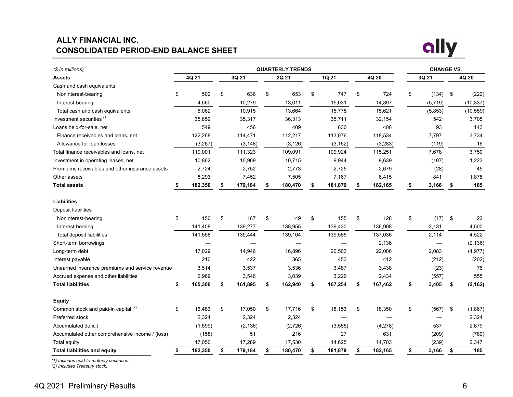## <span id="page-5-0"></span>**ALLY FINANCIAL INC. CONSOLIDATED PERIOD-END BALANCE SHEET**



| (\$ in millions)                                |               |               | <b>QUARTERLY TRENDS</b> |               |               | <b>CHANGE VS.</b> |                |
|-------------------------------------------------|---------------|---------------|-------------------------|---------------|---------------|-------------------|----------------|
| Assets                                          | 4Q 21         | 3Q 21         | 2Q 21                   | 1Q 21         | 4Q 20         | 3Q 21             | 4Q 20          |
| Cash and cash equivalents                       |               |               |                         |               |               |                   |                |
| Noninterest-bearing                             | \$<br>502     | \$<br>636     | \$<br>653               | \$<br>747     | \$<br>724     | \$<br>$(134)$ \$  | (222)          |
| Interest-bearing                                | 4,560         | 10,279        | 13,011                  | 15,031        | 14,897        | (5,719)           | (10, 337)      |
| Total cash and cash equivalents                 | 5,062         | 10,915        | 13,664                  | 15,778        | 15,621        | (5,853)           | (10, 559)      |
| Investment securities <sup>(1)</sup>            | 35,859        | 35,317        | 36,313                  | 35,711        | 32,154        | 542               | 3,705          |
| Loans held-for-sale, net                        | 549           | 456           | 409                     | 630           | 406           | 93                | 143            |
| Finance receivables and loans, net              | 122,268       | 114,471       | 112,217                 | 113,076       | 118,534       | 7,797             | 3,734          |
| Allowance for loan losses                       | (3,267)       | (3, 148)      | (3, 126)                | (3, 152)      | (3, 283)      | (119)             | 16             |
| Total finance receivables and loans, net        | 119,001       | 111,323       | 109,091                 | 109,924       | 115,251       | 7,678             | 3,750          |
| Investment in operating leases, net             | 10,862        | 10,969        | 10,715                  | 9,944         | 9,639         | (107)             | 1,223          |
| Premiums receivables and other insurance assets | 2,724         | 2,752         | 2,773                   | 2,725         | 2,679         | (28)              | 45             |
| Other assets                                    | 8,293         | 7,452         | 7,505                   | 7,167         | 6,415         | 841               | 1,878          |
| <b>Total assets</b>                             | 182,350       | \$<br>179,184 | \$<br>180,470           | \$<br>181,879 | 182,165       | \$<br>3,166       | \$<br>185      |
| <b>Liabilities</b>                              |               |               |                         |               |               |                   |                |
| Deposit liabilities                             |               |               |                         |               |               |                   |                |
| Noninterest-bearing                             | \$<br>150     | \$<br>167     | \$<br>149               | \$<br>155     | \$<br>128     | \$<br>(17)        | \$<br>22       |
| Interest-bearing                                | 141,408       | 139,277       | 138,955                 | 139,430       | 136,908       | 2,131             | 4,500          |
| Total deposit liabilities                       | 141,558       | 139,444       | 139,104                 | 139,585       | 137,036       | 2,114             | 4,522          |
| Short-term borrowings                           |               |               |                         |               | 2,136         |                   | (2, 136)       |
| Long-term debt                                  | 17,029        | 14,946        | 16,896                  | 20,503        | 22,006        | 2,083             | (4, 977)       |
| Interest payable                                | 210           | 422           | 365                     | 453           | 412           | (212)             | (202)          |
| Unearned insurance premiums and service revenue | 3,514         | 3,537         | 3,536                   | 3,487         | 3,438         | (23)              | 76             |
| Accrued expense and other liabilities           | 2,989         | 3,546         | 3,039                   | 3,226         | 2,434         | (557)             | 555            |
| <b>Total liabilities</b>                        | \$<br>165,300 | \$<br>161,895 | \$<br>162,940           | \$<br>167,254 | \$<br>167,462 | \$<br>3,405       | \$<br>(2, 162) |
| <b>Equity</b>                                   |               |               |                         |               |               |                   |                |
| Common stock and paid-in capital (2)            | \$<br>16,483  | \$<br>17,050  | \$<br>17,716            | \$<br>18,153  | \$<br>18,350  | \$<br>(567)       | \$<br>(1,867)  |
| Preferred stock                                 | 2,324         | 2,324         | 2,324                   |               |               |                   | 2,324          |
| Accumulated deficit                             | (1, 599)      | (2, 136)      | (2,726)                 | (3, 555)      | (4,278)       | 537               | 2,679          |
| Accumulated other comprehensive income / (loss) | (158)         | 51            | 216                     | 27            | 631           | (209)             | (789)          |
| Total equity                                    | 17,050        | 17,289        | 17,530                  | 14,625        | 14,703        | (239)             | 2,347          |
| <b>Total liabilities and equity</b>             | \$<br>182,350 | \$<br>179,184 | \$<br>180,470           | \$<br>181,879 | \$<br>182,165 | \$<br>3,166       | \$<br>185      |

*(1) Includes held-to-maturity securities.*

*(2) Includes Treasury stock.*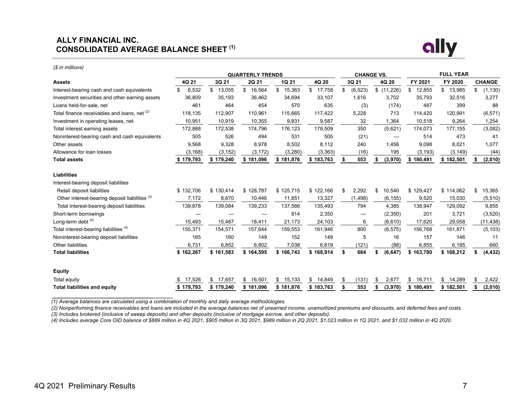### **ALLY FINANCIAL INC. CONSOLIDATED AVERAGE BALANCE SHEET (1)**



*(\$ in millions)*

|                                                           |              |              | <b>QUARTERLY TRENDS</b> |              |              |                | <b>CHANGE VS.</b> |              | <b>FULL YEAR</b> |                |
|-----------------------------------------------------------|--------------|--------------|-------------------------|--------------|--------------|----------------|-------------------|--------------|------------------|----------------|
| <b>Assets</b>                                             | 4Q 21        | 3Q 21        | 2Q 21                   | 1Q 21        | 4Q 20        | 3Q 21          | 4Q 20             | FY 2021      | FY 2020          | <b>CHANGE</b>  |
| Interest-bearing cash and cash equivalents                | 6,532<br>\$. | \$<br>13,055 | \$<br>16,564            | \$<br>15,363 | \$<br>17,758 | \$<br>(6, 523) | \$(11,226)        | \$<br>12,855 | \$<br>13,985     | \$<br>(1, 130) |
| Investment securities and other earning assets            | 36,809       | 35,193       | 36,462                  | 34,694       | 33,107       | 1,616          | 3,702             | 35,793       | 32,516           | 3,277          |
| Loans held-for-sale, net                                  | 461          | 464          | 454                     | 570          | 635          | (3)            | (174)             | 487          | 399              | 88             |
| Total finance receivables and loans, net (2)              | 118,135      | 112,907      | 110,961                 | 115,665      | 117,422      | 5,228          | 713               | 114,420      | 120,991          | (6, 571)       |
| Investment in operating leases, net                       | 10,951       | 10,919       | 10,355                  | 9,831        | 9,587        | 32             | 1,364             | 10,518       | 9,264            | 1,254          |
| Total interest earning assets                             | 172,888      | 172,538      | 174,796                 | 176,123      | 178,509      | 350            | (5,621)           | 174,073      | 177,155          | (3,082)        |
| Noninterest-bearing cash and cash equivalents             | 505          | 526          | 494                     | 531          | 505          | (21)           |                   | 514          | 473              | 41             |
| Other assets                                              | 9,568        | 9,328        | 8,978                   | 8,502        | 8,112        | 240            | 1,456             | 9,098        | 8,021            | 1,077          |
| Allowance for loan losses                                 | (3, 168)     | (3, 152)     | (3, 172)                | (3, 280)     | (3, 363)     | (16)           | 195               | (3, 193)     | (3, 149)         | (44)           |
| <b>Total assets</b>                                       | \$179,793    | \$179,240    | \$181,096               | \$181,876    | \$183,763    | 553            | (3,970)           | \$180,491    | \$182,501        | (2,010)        |
| <b>Liabilities</b>                                        |              |              |                         |              |              |                |                   |              |                  |                |
| Interest-bearing deposit liabilities                      |              |              |                         |              |              |                |                   |              |                  |                |
| Retail deposit liabilities                                | \$132,706    | \$130,414    | \$128,787               | \$125,715    | \$122,166    | 2,292<br>\$    | \$<br>10,540      | \$129,427    | \$114,062        | \$<br>15,365   |
| Other interest-bearing deposit liabilities <sup>(3)</sup> | 7,172        | 8,670        | 10,446                  | 11,851       | 13,327       | (1, 498)       | (6, 155)          | 9,520        | 15,030           | (5, 510)       |
| Total Interest-bearing deposit liabilities                | 139,878      | 139,084      | 139,233                 | 137,566      | 135,493      | 794            | 4,385             | 138,947      | 129,092          | 9,855          |
| Short-term borrowings                                     |              |              |                         | 814          | 2,350        |                | (2,350)           | 201          | 3,721            | (3,520)        |
| Long-term debt $(4)$                                      | 15,493       | 15,487       | 18,411                  | 21,173       | 24,103       | 6              | (8,610)           | 17,620       | 29,058           | (11, 438)      |
| Total interest-bearing liabilities <sup>(4)</sup>         | 155,371      | 154,571      | 157,644                 | 159,553      | 161,946      | 800            | (6, 575)          | 156,768      | 161,871          | (5, 103)       |
| Noninterest-bearing deposit liabilities                   | 165          | 160          | 149                     | 152          | 149          | 5              | 16                | 157          | 146              | 11             |
| <b>Other liabilities</b>                                  | 6,731        | 6,852        | 6,802                   | 7,038        | 6,819        | (121)          | (88)              | 6,855        | 6,195            | 660            |
| <b>Total liabilities</b>                                  | \$162,267    | \$161,583    | \$164,595               | \$166,743    | \$168,914    | 684<br>S       | (6, 647)          | \$163,780    | \$168,212        | (4, 432)<br>S. |
| <b>Equity</b>                                             |              |              |                         |              |              |                |                   |              |                  |                |
| Total equity                                              | 17,526<br>S  | S<br>17,657  | 16,501<br>\$            | \$<br>15,133 | S.<br>14,849 | S<br>(131)     | 2,677<br>S        | \$<br>16,711 | \$<br>14,289     | S<br>2,422     |
| <b>Total liabilities and equity</b>                       | \$179,793    | \$179,240    | \$181,096               | \$181,876    | \$183,763    | 553<br>\$      | (3,970)           | \$180,491    | \$182,501        | (2,010)<br>\$  |
|                                                           |              |              |                         |              |              |                |                   |              |                  |                |

*(1) Average balances are calculated using a combination of monthly and daily average methodologies.*

*(2) Nonperforming finance receivables and loans are included in the average balances net of unearned income, unamortized premiums and discounts, and deferred fees and costs.*

*(3) Includes brokered (inclusive of sweep deposits) and other deposits (inclusive of mortgage escrow, and other deposits).*

*(4) Includes average Core OID balance of \$889 million in 4Q 2021, \$905 million in 3Q 2021, \$989 million in 2Q 2021, \$1,023 million in 1Q 2021, and \$1,032 million in 4Q 2020.*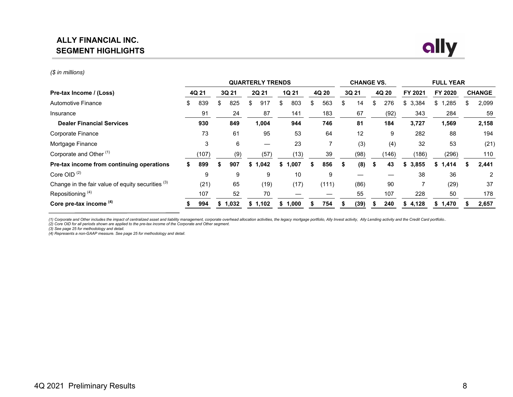## **ALLY FINANCIAL INC. SEGMENT HIGHLIGHTS**



#### *(\$ in millions)*

|                                                   |           |    |       |   | <b>QUARTERLY TRENDS</b> |     |              |    |       | <b>CHANGE VS.</b> |           |             | <b>FULL YEAR</b>      |                |
|---------------------------------------------------|-----------|----|-------|---|-------------------------|-----|--------------|----|-------|-------------------|-----------|-------------|-----------------------|----------------|
| Pre-tax Income / (Loss)                           | 4Q 21     |    | 3Q 21 |   | 2Q 21                   |     | <b>1Q 21</b> |    | 4Q 20 | 3Q 21             | 4Q 20     | FY 2021     | FY 2020               | <b>CHANGE</b>  |
| <b>Automotive Finance</b>                         | \$<br>839 | \$ | 825   | S | 917                     | \$  | 803          | \$ | 563   | \$<br>14          | \$<br>276 | \$<br>3,384 | $$^{\circ}$ 1<br>.285 | 2,099          |
| Insurance                                         | 91        |    | 24    |   | 87                      |     | 141          |    | 183   | 67                | (92)      | 343         | 284                   | 59             |
| <b>Dealer Financial Services</b>                  | 930       |    | 849   |   | 1,004                   |     | 944          |    | 746   | 81                | 184       | 3,727       | 1,569                 | 2,158          |
| Corporate Finance                                 | 73        |    | 61    |   | 95                      |     | 53           |    | 64    | 12                | 9         | 282         | 88                    | 194            |
| Mortgage Finance                                  | 3         |    | 6     |   |                         |     | 23           |    |       | (3)               | (4)       | 32          | 53                    | (21)           |
| Corporate and Other <sup>(1)</sup>                | (107)     |    | (9)   |   | (57)                    |     | (13)         |    | 39    | (98)              | (146)     | (186)       | (296)                 | 110            |
| Pre-tax income from continuing operations         | 899       | S  | 907   |   | \$1,042                 | \$1 | .007         | S  | 856   | \$<br>(8)         | 43        | 3,855<br>S  | \$1,414               | 2,441          |
| Core OID <sup>(2)</sup>                           | 9         |    | 9     |   | 9                       |     | 10           |    | 9     |                   |           | 38          | 36                    | $\overline{2}$ |
| Change in the fair value of equity securities (3) | (21)      |    | 65    |   | (19)                    |     | (17)         |    | (111) | (86)              | 90        |             | (29)                  | 37             |
| Repositioning <sup>(4)</sup>                      | 107       |    | 52    |   | 70                      |     |              |    |       | 55                | 107       | 228         | 50                    | 178            |
| Core pre-tax income (4)                           | 994       | S  | 1,032 |   | \$1,102                 |     | 1,000        |    | 754   | (39)              | 240       | 4,128<br>S  | 1,470<br>\$           | 2,657          |

(1) Corporate and Other includes the impact of centralized asset and liability management, corporate overhead allocation activities, the legacy mortgage portfolio, Ally Invest activity, Ally Lending activity and the Credit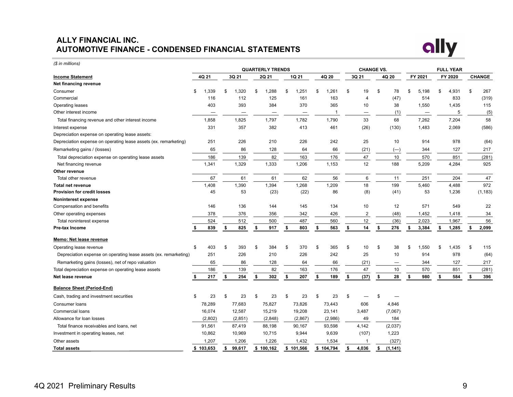## **ALLY FINANCIAL INC. AUTOMOTIVE FINANCE - CONDENSED FINANCIAL STATEMENTS**



*(\$ in millions)* **QUARTERLY TRENDS CHANGE VS. FULL YEAR Income Statement 4Q 21 3Q 21 2Q 21 1Q 21 4Q 20 3Q 21 4Q 20 FY 2021 FY 2020 CHANGE Net financing revenue** Consumer \$ 1,339 \$ 1,320 \$ 1,288 \$ 1,251 \$ 1,261 \$ 19 \$ 78 \$ 5,198 \$ 4,931 \$ 267 Commercial 116 112 125 161 163 4 (47) 514 833 (319) Operating leases 403 393 384 370 365 10 38 1,550 1,435 115 Other interest income  $\qquad \qquad \qquad \qquad \qquad \qquad \qquad \qquad \qquad \qquad \qquad \qquad \qquad$  1  $\qquad \qquad \qquad \qquad$  5  $\qquad \qquad$  (5) Total financing revenue and other interest income  $1,858$   $1,825$   $1,797$   $1,782$   $1,790$  33 68 7,262 7,204 58 Interest expense 331 357 382 413 461 (26) (130) 1,483 2,069 (586) Depreciation expense on operating lease assets: Depreciation expense on operating lease assets (ex. remarketing) 251 226 210 226 242 25 10 914 978 (64) Remarketing gains / (losses) 65 86 128 64 66 (21) (--) 344 127 217 Total depreciation expense on operating lease assets 186 139 82 163 176 47 10 570 851 (281) Net financing revenue 1,341 1,329 1,333 1,206 1,153 12 188 5,209 4,284 925 **Other revenue** Total other revenue 67 61 61 62 56 6 11 251 204 47 **Total net revenue** 1,408 1,390 1,394 1,268 1,209 18 199 5,460 4,488 972 **Provision for credit losses** 45 53 (23) (22) 86 (8) (41) 53 1,236 (1,183) **Noninterest expense** Compensation and benefits 156 136 136 136 144 145 134 10 12 571 549 22 Other operating expenses 2001 2012 378 378 376 356 342 426 2 48 426 448 1,452 1,418 34 Total noninterest expense 1988 1,967 560 524 512 500 487 560 560 52,023 1,967 56 **Pre-tax Income \$ 839 \$ 825 \$ 917 \$ 803 \$ 563 \$ 14 \$ 276 \$ 3,384 \$ 1,285 \$ 2,099 Memo: Net lease revenue** Operating lease revenue 100 1403 \$ 403 \$ 393 \$ 384 \$ 370 \$ 365 \$ 10 \$ 38 \$ 1,550 \$ 1,435 \$ 115 Depreciation expense on operating lease assets (ex. remarketing) 251 226 210 226 242 25 10 914 978 (64) Remarketing gains (losses), net of repo valuation 100 100 100 65 86 128 64 66 (21) — 344 127 217 Total depreciation expense on operating lease assets 186 139 82 163 176 47 10 570 851 (281) **Net lease revenue \$ 217 \$ 254 \$ 302 \$ 207 \$ 189 \$ (37) \$ 28 \$ 980 \$ 584 \$ 396 Balance Sheet (Period-End)** Cash, trading and investment securities  $\begin{array}{ccccccccccccc}\n\text{S} & \text{S} & \text{S} & \text{S} & \text{S} & \text{S} & \text{S} & \text{S} & \text{S} & \text{S} & \text{S} & \text{S} & \text{S} & \text{S} & \text{S} & \text{S} & \text{S} & \text{S} & \text{S} & \text{S} & \text{S} & \text{S} & \text{S} & \text{S} & \text{S} & \text{S} & \text{S} & \text{S} & \$ Consumer loans 78,289 77,683 75,827 73,826 73,443 606 4,846 Commercial loans 16,074 12,587 15,219 19,208 23,141 3,487 (7,067) Allowance for loan losses (2,802) (2,851) (2,848) (2,867) (2,986) 49 184 Total finance receivables and loans, net 12,037 and 31,561 97,419 88,198 90,167 93,598 4,142 (2,037) Investment in operating leases, net 10,862 10,969 10,715 9,944 9,639 (107) 1,223 Other assets 1,207 1,206 1,226 1,432 1,534 1 (327) **Total assets \$ 103,653 \$ 99,617 \$ 100,162 \$ 101,566 \$ 104,794 \$ 4,036 \$ (1,141)**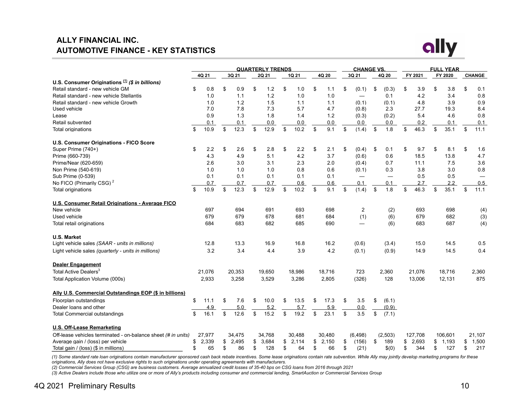## **ALLY FINANCIAL INC. AUTOMOTIVE FINANCE - KEY STATISTICS**



|                                                               |             |             | <b>QUARTERLY TRENDS</b> |             |             | <b>CHANGE VS.</b>        |             |            | <b>FULL YEAR</b> |               |
|---------------------------------------------------------------|-------------|-------------|-------------------------|-------------|-------------|--------------------------|-------------|------------|------------------|---------------|
|                                                               | 4Q 21       | 3Q 21       | 2Q 21                   | 1Q 21       | 4Q 20       | 3Q 21                    | 4Q 20       | FY 2021    | FY 2020          | <b>CHANGE</b> |
| U.S. Consumer Originations (1) (\$ in billions)               |             |             |                         |             |             |                          |             |            |                  |               |
| Retail standard - new vehicle GM                              | \$<br>0.8   | \$<br>0.9   | \$<br>$1.2$             | \$<br>1.0   | \$<br>1.1   | \$<br>(0.1)              | \$<br>(0.3) | \$<br>3.9  | \$<br>3.8        | \$<br>0.1     |
| Retail standard - new vehicle Stellantis                      | 1.0         | 1.1         | 1.2                     | 1.0         | 1.0         | $\overline{\phantom{0}}$ | 0.1         | 4.2        | 3.4              | 0.8           |
| Retail standard - new vehicle Growth                          | 1.0         | 1.2         | 1.5                     | 1.1         | 1.1         | (0.1)                    | (0.1)       | 4.8        | 3.9              | 0.9           |
| Used vehicle                                                  | 7.0         | 7.8         | 7.3                     | 5.7         | 4.7         | (0.8)                    | 2.3         | 27.7       | 19.3             | 8.4           |
| Lease                                                         | 0.9         | 1.3         | 1.8                     | 1.4         | 1.2         | (0.3)                    | (0.2)       | 5.4        | 4.6              | 0.8           |
| Retail subvented                                              | 0.1         | 0.1         | 0.0                     | 0.0         | 0.0         | 0.0                      | 0.0         | 0.2        | 0.1              | 0.1           |
| Total originations                                            | \$<br>10.9  | \$<br>12.3  | \$<br>12.9              | \$<br>10.2  | \$<br>9.1   | \$<br>(1.4)              | \$<br>1.8   | \$<br>46.3 | \$<br>35.1       | \$<br>11.1    |
| <b>U.S. Consumer Originations - FICO Score</b>                |             |             |                         |             |             |                          |             |            |                  |               |
| Super Prime (740+)                                            | \$<br>2.2   | \$<br>2.6   | \$<br>2.8               | \$<br>2.2   | \$<br>2.1   | \$<br>(0.4)              | \$<br>0.1   | \$<br>9.7  | \$<br>8.1        | \$<br>1.6     |
| Prime (660-739)                                               | 4.3         | 4.9         | 5.1                     | 4.2         | 3.7         | (0.6)                    | 0.6         | 18.5       | 13.8             | 4.7           |
| Prime/Near (620-659)                                          | 2.6         | 3.0         | 3.1                     | 2.3         | 2.0         | (0.4)                    | 0.7         | 11.1       | 7.5              | 3.6           |
| Non Prime (540-619)                                           | 1.0         | 1.0         | 1.0                     | 0.8         | 0.6         | (0.1)                    | 0.3         | 3.8        | 3.0              | 0.8           |
| Sub Prime (0-539)                                             | 0.1         | 0.1         | 0.1                     | 0.1         | 0.1         | —                        |             | 0.5        | 0.5              |               |
| No FICO (Primarily CSG) <sup>2</sup>                          | 0.7         | 0.7         | 0.7                     | 0.6         | 0.6         | 0.1                      | 0.1         | 2.7        | 2.2              | 0.5           |
| Total originations                                            | \$<br>10.9  | \$<br>12.3  | \$<br>12.9              | \$<br>10.2  | \$<br>9.1   | \$<br>(1.4)              | \$<br>1.8   | \$<br>46.3 | \$<br>35.1       | \$<br>11.1    |
| U.S. Consumer Retail Originations - Average FICO              |             |             |                         |             |             |                          |             |            |                  |               |
| New vehicle                                                   | 697         | 694         | 691                     | 693         | 698         | 2                        | (2)         | 693        | 698              | (4)           |
| Used vehicle                                                  | 679         | 679         | 678                     | 681         | 684         | (1)                      | (6)         | 679        | 682              | (3)           |
| Total retail originations                                     | 684         | 683         | 682                     | 685         | 690         | $\overline{\phantom{0}}$ | (6)         | 683        | 687              | (4)           |
| <b>U.S. Market</b>                                            |             |             |                         |             |             |                          |             |            |                  |               |
| Light vehicle sales (SAAR - units in millions)                | 12.8        | 13.3        | 16.9                    | 16.8        | 16.2        | (0.6)                    | (3.4)       | 15.0       | 14.5             | 0.5           |
| Light vehicle sales (quarterly - units in millions)           | 3.2         | 3.4         | 4.4                     | 3.9         | 4.2         | (0.1)                    | (0.9)       | 14.9       | 14.5             | 0.4           |
| <b>Dealer Engagement</b>                                      |             |             |                         |             |             |                          |             |            |                  |               |
| Total Active Dealers <sup>3</sup>                             | 21,076      | 20,353      | 19,650                  | 18,986      | 18,716      | 723                      | 2,360       | 21,076     | 18,716           | 2,360         |
| Total Application Volume (000s)                               | 2,933       | 3,258       | 3,529                   | 3,286       | 2,805       | (326)                    | 128         | 13,006     | 12,131           | 875           |
| Ally U.S. Commercial Outstandings EOP (\$ in billions)        |             |             |                         |             |             |                          |             |            |                  |               |
| Floorplan outstandings                                        | \$<br>11.1  | \$<br>7.6   | \$<br>10.0              | \$<br>13.5  | \$<br>17.3  | \$<br>3.5                | \$<br>(6.1) |            |                  |               |
| Dealer loans and other                                        | 4.9         | 5.0         | 5.2                     | 5.7         | 5.9         | 0.0                      | (0.9)       |            |                  |               |
| <b>Total Commercial outstandings</b>                          | \$<br>16.1  | \$<br>12.6  | \$<br>15.2              | \$<br>19.2  | \$<br>23.1  | \$<br>3.5                | \$<br>(7.1) |            |                  |               |
|                                                               |             |             |                         |             |             |                          |             |            |                  |               |
| <b>U.S. Off-Lease Remarketing</b>                             |             |             |                         |             |             |                          |             |            |                  |               |
| Off-lease vehicles terminated - on-balance sheet (# in units) | 27,977      | 34,475      | 34,768                  | 30,488      | 30,480      | (6, 498)                 | (2,503)     | 127,708    | 106,601          | 21,107        |
| Average gain / (loss) per vehicle                             | \$<br>2.339 | \$<br>2.495 | \$<br>3.684             | \$<br>2.114 | \$<br>2.150 | \$<br>(156)              | \$<br>189   | \$2.693    | \$1.193          | \$<br>1.500   |
| Total gain / (loss) (\$ in millions)                          | \$<br>65    | \$<br>86    | \$<br>128               | \$<br>64    | \$<br>66    | \$<br>(21)               | \$(0)       | \$<br>344  | \$<br>127        | \$<br>217     |

*(1) Some standard rate loan originations contain manufacturer sponsored cash back rebate incentives. Some lease originations contain rate subvention. While Ally may jointly develop marketing programs for these originations, Ally does not have exclusive rights to such originations under operating agreements with manufacturers.*

*(2) Commercial Services Group (CSG) are business customers. Average annualized credit losses of 35-40 bps on CSG loans from 2016 through 2021*

*(3) Active Dealers include those who utilize one or more of Ally's products including consumer and commercial lending, SmartAuction or Commercial Services Group*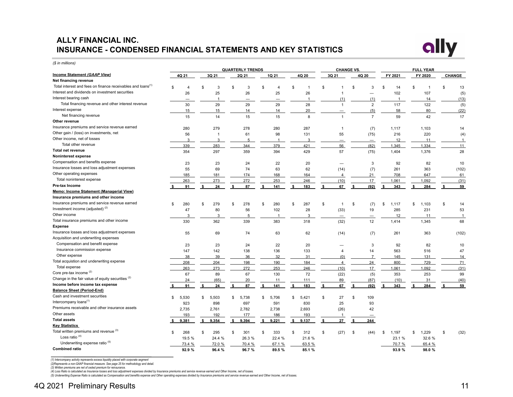## **ALLY FINANCIAL INC. INSURANCE - CONDENSED FINANCIAL STATEMENTS AND KEY STATISTICS**



*(\$ in millions)*

|                                                                         |      |        |    |                |    | <b>QUARTERLY TRENDS</b> |     |              |                |                |    | <b>CHANGE VS.</b>        |    |                |                |    | <b>FULL YEAR</b> |    |                |
|-------------------------------------------------------------------------|------|--------|----|----------------|----|-------------------------|-----|--------------|----------------|----------------|----|--------------------------|----|----------------|----------------|----|------------------|----|----------------|
| Income Statement (GAAP View)                                            |      | 4Q 21  |    | 3Q 21          |    | 2Q 21                   |     | 1Q 21        |                | 4Q 20          |    | 3Q 21                    |    | 4Q 20          | FY 2021        |    | FY 2020          |    | <b>CHANGE</b>  |
| Net financing revenue                                                   |      |        |    |                |    |                         |     |              |                |                |    |                          |    |                |                |    |                  |    |                |
| Total interest and fees on finance receivables and loans <sup>(1)</sup> | \$   | 4      |    | 3              | £. | 3                       | \$. | 4            | $\mathfrak{s}$ |                | \$ |                          | \$ | 3              | \$<br>14       | \$ |                  | £. | 13             |
| Interest and dividends on investment securities                         |      | 26     |    | 25             |    | 26                      |     | 25           |                | 26             |    | $\overline{1}$           |    |                | 102            |    | 107              |    | (5)            |
| Interest bearing cash                                                   |      |        |    | $\overline{1}$ |    |                         |     |              |                | $\overline{1}$ |    | (1)                      |    | (1)            | $\overline{1}$ |    | 14               |    | (13)           |
| Total financing revenue and other interest revenue                      |      | 30     |    | 29             |    | 29                      |     | 29           |                | 28             |    | $\overline{1}$           |    | $\overline{2}$ | 117            |    | 122              |    | (5)            |
| Interest expense                                                        |      | 15     |    | 15             |    | 14                      |     | 14           |                | 20             |    |                          |    | (5)            | 58             |    | 80               |    | (22)           |
| Net financing revenue                                                   |      | 15     |    | 14             |    | 15                      |     | 15           |                | 8              |    | $\overline{1}$           |    | $\overline{7}$ | 59             |    | 42               |    | 17             |
| Other revenue                                                           |      |        |    |                |    |                         |     |              |                |                |    |                          |    |                |                |    |                  |    |                |
| Insurance premiums and service revenue earned                           |      | 280    |    | 279            |    | 278                     |     | 280          |                | 287            |    | $\overline{1}$           |    | (7)            | 1,117          |    | 1,103            |    | 14             |
| Other gain / (loss) on investments, net                                 |      | 56     |    | $\overline{1}$ |    | 61                      |     | 98           |                | 131            |    | 55                       |    | (75)           | 216            |    | 220              |    | (4)            |
| Other income, net of losses                                             |      | 3      |    | 3              |    | 5                       |     | $\mathbf{1}$ |                | 3              |    | $\qquad \qquad -$        |    |                | 12             |    | 11               |    | $\mathbf{1}$   |
| Total other revenue                                                     |      | 339    |    | 283            |    | 344                     |     | 379          |                | 421            |    | 56                       |    | (82)           | 1,345          |    | 1,334            |    | 11             |
| <b>Total net revenue</b>                                                |      | 354    |    | 297            |    | 359                     |     | 394          |                | 429            |    | 57                       |    | (75)           | 1,404          |    | 1,376            |    | 28             |
| Noninterest expense                                                     |      |        |    |                |    |                         |     |              |                |                |    |                          |    |                |                |    |                  |    |                |
| Compensation and benefits expense                                       |      | 23     |    | 23             |    | 24                      |     | 22           |                | 20             |    | $\overline{\phantom{0}}$ |    | 3              | 92             |    | 82               |    | 10             |
| Insurance losses and loss adjustment expenses                           |      | 55     |    | 69             |    | 74                      |     | 63           |                | 62             |    | (14)                     |    | (7)            | 261            |    | 363              |    | (102)          |
| Other operating expenses                                                |      | 185    |    | 181            |    | 174                     |     | 168          |                | 164            |    | $\overline{4}$           |    | 21             | 708            |    | 647              |    | 61             |
| Total noninterest expense                                               |      | 263    |    | 273            |    | 272                     |     | 253          |                | 246            |    | (10)                     |    | 17             | 1,061          |    | 1,092            |    | (31)           |
| Pre-tax Income                                                          |      | 91     |    | 24             | \$ | 87                      | \$  | 141          | \$             | 183            | \$ | 67                       | \$ | (92)           | 343            | -S | 284              |    | 59             |
| Memo: Income Statement (Managerial View)                                |      |        |    |                |    |                         |     |              |                |                |    |                          |    |                |                |    |                  |    |                |
| Insurance premiums and other income                                     |      |        |    |                |    |                         |     |              |                |                |    |                          |    |                |                |    |                  |    |                |
| Insurance premiums and service revenue earned                           | \$   | 280    | \$ | 279            | \$ | 278                     | \$  | 280          | \$             | 287            | \$ | $\overline{1}$           | \$ | (7)            | \$<br>1,117    | \$ | 1,103            | \$ | 14             |
| Investment income (adjusted) <sup>(2)</sup>                             |      | 47     |    | 80             |    | 56                      |     | 102          |                | 28             |    | (33)                     |    | 19             | 285            |    | 231              |    | 53             |
| Other income                                                            |      | 3      |    | 3              |    | 5                       |     |              |                | 3              |    | $\qquad \qquad -$        |    |                | 12             |    | 11               |    | $\overline{1}$ |
| Total insurance premiums and other income                               |      | 330    |    | 362            |    | 339                     |     | 383          |                | 318            |    | (32)                     |    | 12             | 1,414          |    | 1,345            |    | 68             |
| <b>Expense</b>                                                          |      |        |    |                |    |                         |     |              |                |                |    |                          |    |                |                |    |                  |    |                |
| Insurance losses and loss adjustment expenses                           |      | 55     |    | 69             |    | 74                      |     | 63           |                | 62             |    | (14)                     |    | (7)            | 261            |    | 363              |    | (102)          |
| Acquisition and underwriting expenses                                   |      |        |    |                |    |                         |     |              |                |                |    |                          |    |                |                |    |                  |    |                |
| Compensation and benefit expense                                        |      | 23     |    | 23             |    | 24                      |     | 22           |                | 20             |    |                          |    | 3              | 92             |    | 82               |    | 10             |
| Insurance commission expense                                            |      | 147    |    | 142            |    | 138                     |     | 136          |                | 133            |    | 4                        |    | 14             | 563            |    | 516              |    | 47             |
| Other expense                                                           |      | 38     |    | 39             |    | 36                      |     | 32           |                | 31             |    | (0)                      |    | $\overline{7}$ | 145            |    | 131              |    | 14             |
| Total acquistion and underwriting expense                               |      | 208    |    | 204            |    | 198                     |     | 190          |                | 184            |    | $\overline{4}$           |    | 24             | 800            |    | 729              |    | 71             |
| Total expense                                                           |      | 263    |    | 273            |    | 272                     |     | 253          |                | 246            |    | (10)                     |    | 17             | 1,061          |    | 1,092            |    | (31)           |
| Core pre-tax income (2)                                                 |      | 67     |    | 89             |    | 67                      |     | 130          |                | 72             |    | (22)                     |    | (5)            | 353            |    | 253              |    | 99             |
| Change in the fair value of equity securities <sup>(2)</sup>            |      | 24     |    | (65)           |    | 20                      |     | 11           |                | 111            |    | 89                       |    | (87)           | (10)           |    | 31               |    | (40)           |
| Income before income tax expense                                        |      | 91     | \$ | 24             | \$ | 87                      | \$  | 141          | \$             | 183            | S. | 67                       | s. | (92)           | 343            | \$ | 284              |    | 59             |
| <b>Balance Sheet (Period-End)</b>                                       |      |        |    |                |    |                         |     |              |                |                |    |                          |    |                |                |    |                  |    |                |
| Cash and investment securities                                          | \$   | 5,530  | \$ | 5,503          | \$ | 5,738                   | \$  | 5,706        | \$             | 5,421          | \$ | 27                       | \$ | 109            |                |    |                  |    |                |
| Intercompany loans <sup>(1)</sup>                                       |      | 923    |    | 898            |    | 697                     |     | 591          |                | 830            |    | 25                       |    | 93             |                |    |                  |    |                |
| Premiums receivable and other insurance assets                          |      | 2,735  |    | 2,761          |    | 2,782                   |     | 2,738        |                | 2,693          |    | (26)                     |    | 42             |                |    |                  |    |                |
| Other assets                                                            |      | 193    |    | 192            |    | 177                     |     | 186          |                | 193            |    | $\mathbf{1}$             |    |                |                |    |                  |    |                |
| <b>Total assets</b>                                                     | - \$ | 9,381  | -S | 9.354          | \$ | 9,394                   | S.  | 9.221        | S.             | 9.137          | S. | 27                       | Ŝ. | 244            |                |    |                  |    |                |
| <b>Key Statistics</b>                                                   |      |        |    |                |    |                         |     |              |                |                |    |                          |    |                |                |    |                  |    |                |
| Total written premiums and revenue (3)                                  | \$   | 268    | \$ | 295            | \$ | 301                     | \$  | 333          | \$             | 312            | \$ | (27)                     | \$ | (44)           | \$<br>1,197    | \$ | 1,229            | \$ | (32)           |
| Loss ratio $(4)$                                                        |      | 19.5 % |    | 24.4 %         |    | 26.3 %                  |     | 22.4 %       |                | 21.6 %         |    |                          |    |                | 23.1 %         |    | 32.6 %           |    |                |
| Underwriting expense ratio <sup>(5)</sup>                               |      | 73.4 % |    | 72.0 %         |    | 70.4 %                  |     | 67.1 %       |                | 63.5 %         |    |                          |    |                | 70.7 %         |    | 65.4 %           |    |                |
| <b>Combined ratio</b>                                                   |      | 92.9 % |    | 96.4 %         |    | 96.7%                   |     | 89.5 %       |                | 85.1 %         |    |                          |    |                | 93.9 %         |    | 98.0 %           |    |                |
|                                                                         |      |        |    |                |    |                         |     |              |                |                |    |                          |    |                |                |    |                  |    |                |

(1) Intercompany activity represents excess liquidity placed with corporate segment<br>(2)Represents a non-GAAP financial measure. See page 25 for methodology and detail.<br>(3) Written premiums are net of ceded premium for rein

(4) Loss Ratio is calculated as Insurance losses and loss adjustment expenses divided by Insurance permiums and service revenue earned and Other Income, net of losses.<br>(5) Underwriting Expense Ratio is calculated as Compen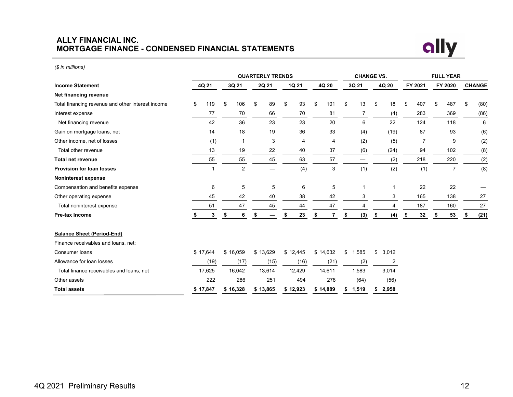#### **ALLY FINANCIAL INC. MORTGAGE FINANCE - CONDENSED FINANCIAL STATEMENTS**



*(\$ in millions)*

|                                                   |           |                |    | <b>QUARTERLY TRENDS</b> |          |                      |    | <b>CHANGE VS.</b> |             |           | <b>FULL YEAR</b> |               |
|---------------------------------------------------|-----------|----------------|----|-------------------------|----------|----------------------|----|-------------------|-------------|-----------|------------------|---------------|
| <b>Income Statement</b>                           | 4Q 21     | 3Q 21          |    | 2Q 21                   | 1Q 21    | 4Q 20                |    | 3Q 21             | 4Q 20       | FY 2021   | FY 2020          | <b>CHANGE</b> |
| Net financing revenue                             |           |                |    |                         |          |                      |    |                   |             |           |                  |               |
| Total financing revenue and other interest income | \$<br>119 | \$<br>106      | \$ | 89                      | \$<br>93 | \$<br>101            | \$ | 13                | \$<br>18    | \$<br>407 | \$<br>487        | \$<br>(80)    |
| Interest expense                                  | 77        | 70             |    | 66                      | 70       | 81                   |    | $\overline{7}$    | (4)         | 283       | 369              | (86)          |
| Net financing revenue                             | 42        | 36             |    | 23                      | 23       | 20                   |    | 6                 | 22          | 124       | 118              | 6             |
| Gain on mortgage loans, net                       | 14        | 18             |    | 19                      | 36       | 33                   |    | (4)               | (19)        | 87        | 93               | (6)           |
| Other income, net of losses                       | (1)       | $\mathbf{1}$   |    | 3                       | 4        | 4                    |    | (2)               | (5)         | 7         | 9                | (2)           |
| Total other revenue                               | 13        | 19             |    | 22                      | 40       | 37                   |    | (6)               | (24)        | 94        | 102              | (8)           |
| <b>Total net revenue</b>                          | 55        | 55             |    | 45                      | 63       | 57                   |    |                   | (2)         | 218       | 220              | (2)           |
| <b>Provision for loan losses</b>                  | 1         | $\overline{2}$ |    |                         | (4)      | 3                    |    | (1)               | (2)         | (1)       | $\overline{7}$   | (8)           |
| <b>Noninterest expense</b>                        |           |                |    |                         |          |                      |    |                   |             |           |                  |               |
| Compensation and benefits expense                 | 6         | 5              |    | 5                       | 6        | 5                    |    |                   | 1           | 22        | 22               |               |
| Other operating expense                           | 45        | 42             |    | 40                      | 38       | 42                   |    | 3                 | 3           | 165       | 138              | 27            |
| Total noninterest expense                         | 51        | 47             |    | 45                      | 44       | 47                   |    | 4                 | 4           | 187       | 160              | 27            |
| Pre-tax Income                                    | 3         | \$<br>6        | S  | —                       | \$<br>23 | \$<br>$\overline{7}$ | \$ | (3)               | \$<br>(4)   | \$<br>32  | 53               | \$<br>(21)    |
| <b>Balance Sheet (Period-End)</b>                 |           |                |    |                         |          |                      |    |                   |             |           |                  |               |
| Finance receivables and loans, net:               |           |                |    |                         |          |                      |    |                   |             |           |                  |               |
| Consumer loans                                    | \$17,644  | \$16,059       |    | \$13,629                | \$12,445 | \$14,632             | \$ | 1,585             | \$<br>3,012 |           |                  |               |
| Allowance for loan losses                         | (19)      | (17)           |    | (15)                    | (16)     | (21)                 |    | (2)               | 2           |           |                  |               |
| Total finance receivables and loans, net          | 17,625    | 16,042         |    | 13,614                  | 12,429   | 14,611               |    | 1,583             | 3,014       |           |                  |               |
| Other assets                                      | 222       | 286            |    | 251                     | 494      | 278                  |    | (64)              | (56)        |           |                  |               |
| <b>Total assets</b>                               | \$17.847  | \$16.328       |    | \$13,865                | \$12,923 | \$14.889             | S. | 1.519             | \$<br>2,958 |           |                  |               |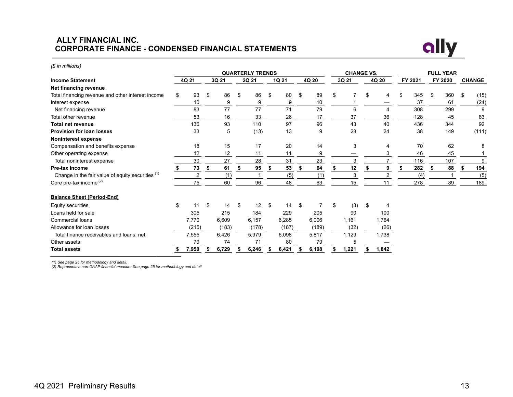#### **ALLY FINANCIAL INC. CORPORATE FINANCE - CONDENSED FINANCIAL STATEMENTS**



#### **QUARTERLY TRENDS CHANGE VS. FULL YEAR Income Statement 4Q 21 3Q 21 2Q 21 1Q 21 4Q 20 3Q 21 4Q 20 FY 2021 FY 2020 CHANGE Net financing revenue** Total financing revenue and other interest income \$ 93 \$ 86 \$ 86 \$ 80 \$ 89 \$ 7 \$ 4 \$ 345 \$ 360 \$ (15) Interest expense 10 9 9 10 1 — 37 61 (24) Net financing revenue 83 77 77 71 79 6 4 308 299 9 Total other revenue 53 16 33 26 17 37 36 128 45 83 **Total net revenue** 136 93 110 97 96 43 40 436 344 92 **Provision for loan losses** 33 5 (13) 13 9 28 24 38 149 (111) **Noninterest expense** Compensation and benefits expense 18 15 17 20 14 3 4 70 62 8 Other operating expense 12 12 12 11 11 9 — 3 46 45 1 Total noninterest expense and the same control of the same control of the same control of the same control of the same control of the same control of the same control of the same control of the same control of the same con **Pre-tax Income \$ 73 \$ 61 \$ 95 \$ 53 \$ 64 \$ 12 \$ 9 \$ 282 \$ 88 \$ 194**  Change in the fair value of equity securities  $(1)$  2 (1) 1 (5) (1) 3 2 (4) 1 (5)  $Core$  pre-tax income  $^{(2)}$  278 189 189 189 75 60 96 48 63 15 11 278 89 189 **Balance Sheet (Period-End)** Equity securities \$ 11 \$ 14 \$ 12 \$ 14 \$ 7 \$ (3) \$ 4 Loans held for sale 305 305 305 215 184 229 205 90 100 Commercial loans 7,770 6,609 6,157 6,285 6,006 1,161 1,764 Allowance for loan losses (215) (183) (178) (187) (189) (32) (26) Total finance receivables and loans, net 7,555 6,426 5,979 6,098 5,817 1,129 1,738 Other assets 79 74 71 80 79 5 — **Total assets \$ 7,950 \$ 6,729 \$ 6,246 \$ 6,421 \$ 6,108 \$ 1,221 \$ 1,842**

*(1) See page 25 for methodology and detail.*

*(\$ in millions)*

*(2) Represents a non-GAAP financial measure.See page 25 for methodology and detail.*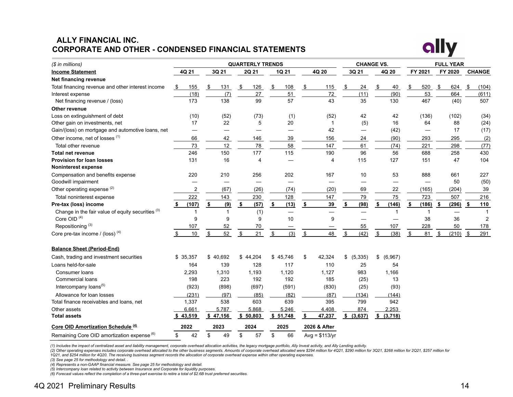## **ALLY FINANCIAL INC. CORPORATE AND OTHER - CONDENSED FINANCIAL STATEMENTS**



| $$$ in millions)                                       |                                |              | <b>QUARTERLY TRENDS</b> |            |                 | <b>CHANGE VS.</b>        |                          |             |      | <b>FULL YEAR</b> |     |                |
|--------------------------------------------------------|--------------------------------|--------------|-------------------------|------------|-----------------|--------------------------|--------------------------|-------------|------|------------------|-----|----------------|
| <b>Income Statement</b>                                | 4Q 21                          | 3Q 21        | 2Q 21                   | 1Q 21      | 4Q 20           | 3Q 21                    | 4Q 20                    | FY 2021     |      | FY 2020          |     | <b>CHANGE</b>  |
| Net financing revenue                                  |                                |              |                         |            |                 |                          |                          |             |      |                  |     |                |
| Total financing revenue and other interest income      | \$<br>155                      | 131<br>\$    | -\$<br>126              | -\$<br>108 | \$<br>115       | -\$<br>24                | \$<br>40                 | \$<br>520   | - \$ | 624              | -\$ | (104)          |
| Interest expense                                       | (18)                           | (7)          | 27                      | 51         | 72              | (11)                     | (90)                     | 53          |      | 664              |     | (611)          |
| Net financing revenue / (loss)                         | 173                            | 138          | 99                      | 57         | 43              | 35                       | 130                      | 467         |      | (40)             |     | 507            |
| Other revenue                                          |                                |              |                         |            |                 |                          |                          |             |      |                  |     |                |
| Loss on extinguishment of debt                         | (10)                           | (52)         | (73)                    | (1)        | (52)            | 42                       | 42                       | (136)       |      | (102)            |     | (34)           |
| Other gain on investments, net                         | 17                             | 22           | 5                       | 20         |                 | (5)                      | 16                       | 64          |      | 88               |     | (24)           |
| Gain/(loss) on mortgage and automotive loans, net      | $\qquad \qquad \longleftarrow$ |              |                         |            | 42              |                          | (42)                     |             |      | 17               |     | (17)           |
| Other income, net of losses (1)                        | 66                             | 42           | 146                     | 39         | 156             | 24                       | (90)                     | 293         |      | 295              |     | (2)            |
| Total other revenue                                    | 73                             | 12           | 78                      | 58         | 147             | 61                       | (74)                     | 221         |      | 298              |     | (77)           |
| <b>Total net revenue</b>                               | 246                            | 150          | 177                     | 115        | 190             | 96                       | 56                       | 688         |      | 258              |     | 430            |
| <b>Provision for loan losses</b>                       | 131                            | 16           | 4                       |            | $\overline{4}$  | 115                      | 127                      | 151         |      | 47               |     | 104            |
| <b>Noninterest expense</b>                             |                                |              |                         |            |                 |                          |                          |             |      |                  |     |                |
| Compensation and benefits expense                      | 220                            | 210          | 256                     | 202        | 167             | 10                       | 53                       | 888         |      | 661              |     | 227            |
| Goodwill impairment                                    |                                |              |                         |            |                 | $\overline{\phantom{0}}$ | $\overline{\phantom{0}}$ |             |      | 50               |     | (50)           |
| Other operating expense <sup>(2)</sup>                 | $\overline{2}$                 | (67)         | (26)                    | (74)       | (20)            | 69                       | 22                       | (165)       |      | (204)            |     | 39             |
| Total noninterest expense                              | 222                            | 143          | 230                     | 128        | 147             | 79                       | 75                       | 723         |      | 507              |     | 216            |
| Pre-tax (loss) income                                  | (107)<br>\$                    | (9)<br>\$    | (57)<br>\$              | (13)<br>\$ | \$<br>39        | (98)<br>\$               | \$<br>(146)              | \$<br>(186) | - 5  | (296)            | \$  | 110            |
| Change in the fair value of equity securities (3)      | -1                             | $\mathbf{1}$ | (1)                     |            |                 |                          | -1                       |             |      |                  |     |                |
| Core OID <sup>(4)</sup>                                | 9                              | 9            | 9                       | 10         | 9               |                          |                          | 38          |      | 36               |     | $\overline{2}$ |
| Repositioning <sup>(3)</sup>                           | 107                            | 52           | 70                      |            |                 | 55                       | 107                      | 228         |      | 50               |     | 178            |
| Core pre-tax income / (loss) $(4)$                     | 10<br>\$                       | 52<br>\$     | 21<br>\$                | (3)<br>\$  | \$<br>48        | (42)<br>\$               | \$<br>(38)               | \$<br>81    | S    | (210)            | -\$ | 291            |
| <b>Balance Sheet (Period-End)</b>                      |                                |              |                         |            |                 |                          |                          |             |      |                  |     |                |
| Cash, trading and investment securities                | \$35,357                       | \$40,692     | \$44,204                | \$45,746   | \$<br>42,324    | \$ (5,335)               | \$<br>(6,967)            |             |      |                  |     |                |
| Loans held-for-sale                                    | 164                            | 139          | 128                     | 117        | 110             | 25                       | 54                       |             |      |                  |     |                |
| Consumer loans                                         | 2,293                          | 1,310        | 1,193                   | 1,120      | 1,127           | 983                      | 1,166                    |             |      |                  |     |                |
| <b>Commercial loans</b>                                | 198                            | 223          | 192                     | 192        | 185             | (25)                     | 13                       |             |      |                  |     |                |
| Intercompany loans <sup>(5)</sup>                      | (923)                          | (898)        | (697)                   | (591)      | (830)           | (25)                     | (93)                     |             |      |                  |     |                |
| Allowance for loan losses                              | (231)                          | (97)         | (85)                    | (82)       | (87)            | (134)                    | (144)                    |             |      |                  |     |                |
| Total finance receivables and loans, net               | 1,337                          | 538          | 603                     | 639        | 395             | 799                      | 942                      |             |      |                  |     |                |
| Other assets                                           | 6.661                          | 5.787        | 5.868                   | 5.246      | 4.408           | 874                      | 2.253                    |             |      |                  |     |                |
| <b>Total assets</b>                                    | \$43,519                       | \$47,156     | \$50,803                | \$51,748   | \$<br>47,237    | \$ (3,637)               | \$ (3,718)               |             |      |                  |     |                |
| Core OID Amortization Schedule <sup>(4)</sup>          | 2022                           | 2023         | 2024                    | 2025       | 2026 & After    |                          |                          |             |      |                  |     |                |
| Remaining Core OID amortization expense <sup>(6)</sup> | \$<br>42                       | \$<br>49     | \$<br>57                | \$<br>66   | $Avq = $113/vr$ |                          |                          |             |      |                  |     |                |

*(1) Includes the impact of centralized asset and liability management, corporate overhead allocation activities, the legacy mortgage portfolio, Ally Invest activity, and Ally Lending activity.*

(2) Other operating expenses includes corporate overhead allocated to the other business segments. Amounts of corporate overhead allocated were \$294 million for 4Q21, \$290 million for 3Q21, \$268 million for 2Q21, \$268 mill *1Q21, and \$254 million for 4Q20. The receiving business segment records the allocation of corporate overhead expense within other operating expenses.*

*(3) See page 25 for methodology and detail. .*

*(4) Represents a non-GAAP financial measure. See page 25 for methodology and detail.* 

(5) Intercompany loan related to activity between Insurance and Corporate for liquidity purposes.<br>(6) Forecast values reflect the completion of a three-part exercise to retire a total of \$2.6B trust preferred securities.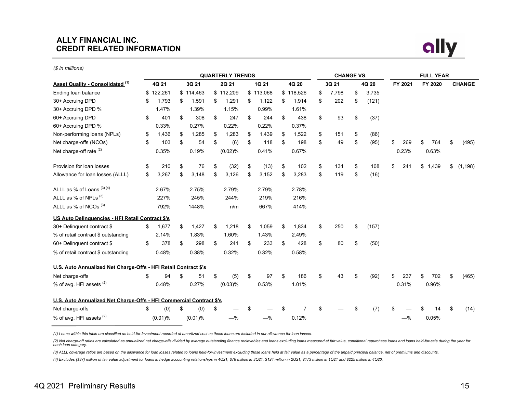#### **ALLY FINANCIAL INC. CREDIT RELATED INFORMATION**



|                                                                     |             |             |    | <b>QUARTERLY TRENDS</b> |    |           |    |           |    | <b>CHANGE VS.</b> |             | <b>FULL YEAR</b> |    |         |    |               |
|---------------------------------------------------------------------|-------------|-------------|----|-------------------------|----|-----------|----|-----------|----|-------------------|-------------|------------------|----|---------|----|---------------|
| <b>Asset Quality - Consolidated (1)</b>                             | 4Q 21       | 3Q 21       |    | 2Q 21                   |    | 1Q 21     |    | 4Q 20     |    | 3Q 21             | 4Q 20       | FY 2021          |    | FY 2020 |    | <b>CHANGE</b> |
| Ending loan balance                                                 | \$122,261   | \$114,463   |    | \$112,209               |    | \$113,068 |    | \$118,526 | \$ | 7,798             | \$<br>3,735 |                  |    |         |    |               |
| 30+ Accruing DPD                                                    | \$<br>1,793 | \$<br>1,591 | S  | 1,291                   | \$ | 1,122     | \$ | 1,914     | \$ | 202               | \$<br>(121) |                  |    |         |    |               |
| 30+ Accruing DPD %                                                  | 1.47%       | 1.39%       |    | 1.15%                   |    | 0.99%     |    | 1.61%     |    |                   |             |                  |    |         |    |               |
| 60+ Accruing DPD                                                    | \$<br>401   | \$<br>308   | \$ | 247                     | \$ | 244       | \$ | 438       | \$ | 93                | \$<br>(37)  |                  |    |         |    |               |
| 60+ Accruing DPD %                                                  | 0.33%       | 0.27%       |    | 0.22%                   |    | 0.22%     |    | 0.37%     |    |                   |             |                  |    |         |    |               |
| Non-performing loans (NPLs)                                         | \$<br>1,436 | \$<br>1,285 | \$ | 1,283                   | \$ | 1,439     | \$ | 1,522     | \$ | 151               | \$<br>(86)  |                  |    |         |    |               |
| Net charge-offs (NCOs)                                              | \$<br>103   | \$<br>54    | \$ | (6)                     | \$ | 118       | \$ | 198       | \$ | 49                | \$<br>(95)  | \$<br>269        | \$ | 764     | \$ | (495)         |
| Net charge-off rate <sup>(2)</sup>                                  | 0.35%       | 0.19%       |    | (0.02)%                 |    | 0.41%     |    | 0.67%     |    |                   |             | 0.23%            |    | 0.63%   |    |               |
| Provision for loan losses                                           | \$<br>210   | \$<br>76    | \$ | (32)                    | \$ | (13)      | \$ | 102       | \$ | 134               | \$<br>108   | \$<br>241        |    | \$1,439 | \$ | (1, 198)      |
| Allowance for loan losses (ALLL)                                    | \$<br>3,267 | \$<br>3,148 | \$ | 3,126                   | \$ | 3,152     | \$ | 3,283     | \$ | 119               | \$<br>(16)  |                  |    |         |    |               |
| ALLL as % of Loans (3) (4)                                          | 2.67%       | 2.75%       |    | 2.79%                   |    | 2.79%     |    | 2.78%     |    |                   |             |                  |    |         |    |               |
| ALLL as % of NPLs (3)                                               | 227%        | 245%        |    | 244%                    |    | 219%      |    | 216%      |    |                   |             |                  |    |         |    |               |
| ALLL as % of NCOs <sup>(3)</sup>                                    | 792%        | 1448%       |    | n/m                     |    | 667%      |    | 414%      |    |                   |             |                  |    |         |    |               |
| US Auto Delinguencies - HFI Retail Contract \$'s                    |             |             |    |                         |    |           |    |           |    |                   |             |                  |    |         |    |               |
| 30+ Delinquent contract \$                                          | \$<br>1,677 | \$<br>1,427 | \$ | 1,218                   | \$ | 1,059     | \$ | 1,834     | \$ | 250               | \$<br>(157) |                  |    |         |    |               |
| % of retail contract \$ outstanding                                 | 2.14%       | 1.83%       |    | 1.60%                   |    | 1.43%     |    | 2.49%     |    |                   |             |                  |    |         |    |               |
| 60+ Delinguent contract \$                                          | \$<br>378   | \$<br>298   | \$ | 241                     | \$ | 233       | \$ | 428       | \$ | 80                | \$<br>(50)  |                  |    |         |    |               |
| % of retail contract \$ outstanding                                 | 0.48%       | 0.38%       |    | 0.32%                   |    | 0.32%     |    | 0.58%     |    |                   |             |                  |    |         |    |               |
| U.S. Auto Annualized Net Charge-Offs - HFI Retail Contract \$'s     |             |             |    |                         |    |           |    |           |    |                   |             |                  |    |         |    |               |
| Net charge-offs                                                     | \$<br>94    | \$<br>51    | \$ | (5)                     | \$ | 97        | \$ | 186       | \$ | 43                | \$<br>(92)  | \$<br>237        | \$ | 702     | \$ | (465)         |
| % of avg. HFI assets (2)                                            | 0.48%       | 0.27%       |    | $(0.03)$ %              |    | 0.53%     |    | 1.01%     |    |                   |             | 0.31%            |    | 0.96%   |    |               |
| U.S. Auto Annualized Net Charge-Offs - HFI Commercial Contract \$'s |             |             |    |                         |    |           |    |           |    |                   |             |                  |    |         |    |               |
| Net charge-offs                                                     | \$<br>(0)   | \$<br>(0)   | \$ |                         | S  |           | S  | 7         | £. |                   | \$<br>(7)   |                  |    |         | \$ | (14)          |
| % of avg. HFI assets <sup>(2)</sup>                                 | $(0.01)\%$  | $(0.01)\%$  |    | $-$ %                   |    | $-\%$     |    | 0.12%     |    |                   |             | $-%$             |    | 0.05%   |    |               |

*(1) Loans within this table are classified as held-for-investment recorded at amortized cost as these loans are included in our allowance for loan losses.*

(2) Net charge-off ratios are calculated as annualized net charge-offs divided by average outstanding finance recievables and loans excluding loans measured at fair value, conditional repurchase loans and loans held-for-sa

(3) ALLL coverage ratios are based on the allowance for loan losses related to loans held-for-investment excluding those loans held at fair value as a percentage of the unpaid principal balance, net of premiums and discoun

*(4) Excludes (\$37) million of fair value adjustment for loans in hedge accounting relationships in 4Q21, \$78 million in 3Q21, \$124 million in 2Q21, \$173 million in 1Q21 and \$225 million in 4Q20.*

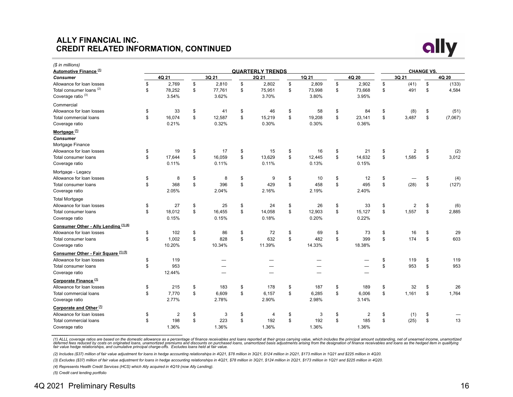#### **ALLY FINANCIAL INC. CREDIT RELATED INFORMATION, CONTINUED**



| (\$ in millions)<br>Automotive Finance <sup>(1)</sup> |              |              | <b>QUARTERLY TRENDS</b> |              |        |                      |                |       | <b>CHANGE VS.</b> |         |
|-------------------------------------------------------|--------------|--------------|-------------------------|--------------|--------|----------------------|----------------|-------|-------------------|---------|
| <b>Consumer</b>                                       | 4Q 21        | 3Q 21        | 2Q 21                   |              | 1Q 21  | 4Q 20                |                | 3Q 21 |                   | 4Q 20   |
| Allowance for loan losses                             | \$<br>2,769  | \$<br>2,810  | \$<br>2,802             | \$           | 2,809  | \$<br>2,902          | \$             | (41)  | \$                | (133)   |
| Total consumer loans <sup>(2)</sup>                   | \$<br>78,252 | \$<br>77,761 | \$<br>75,951            | \$           | 73,998 | \$<br>73,668         | \$             | 491   | \$                | 4,584   |
| Coverage ratio <sup>(3)</sup>                         | 3.54%        | 3.62%        | 3.70%                   |              | 3.80%  | 3.95%                |                |       |                   |         |
| Commercial                                            |              |              |                         |              |        |                      |                |       |                   |         |
| Allowance for loan losses                             | \$<br>33     | \$<br>41     | \$<br>46                | \$           | 58     | \$<br>84             | \$             | (8)   | \$                | (51)    |
| <b>Total commercial loans</b>                         | \$<br>16,074 | \$<br>12,587 | \$<br>15,219            | \$           | 19,208 | \$<br>23,141         | \$             | 3,487 | \$                | (7,067) |
| Coverage ratio                                        | 0.21%        | 0.32%        | 0.30%                   |              | 0.30%  | 0.36%                |                |       |                   |         |
|                                                       |              |              |                         |              |        |                      |                |       |                   |         |
| Mortgage <sup>(1)</sup>                               |              |              |                         |              |        |                      |                |       |                   |         |
| <b>Consumer</b>                                       |              |              |                         |              |        |                      |                |       |                   |         |
| Mortgage Finance                                      |              |              |                         |              |        |                      |                |       |                   |         |
| Allowance for loan losses                             | \$<br>19     | \$<br>17     | \$<br>15                | \$           | 16     | \$<br>21             | \$             | 2     | \$                | (2)     |
| Total consumer loans                                  | \$<br>17.644 | \$<br>16.059 | \$<br>13,629            | \$           | 12,445 | \$<br>14,632         | \$             | 1,585 | \$                | 3,012   |
| Coverage ratio                                        | 0.11%        | 0.11%        | 0.11%                   |              | 0.13%  | 0.15%                |                |       |                   |         |
| Mortgage - Legacy                                     |              |              |                         |              |        |                      |                |       |                   |         |
| Allowance for loan losses                             | \$<br>8      | \$<br>8      | \$<br>9                 | \$           | 10     | \$<br>12             | \$             |       | \$                | (4)     |
| Total consumer loans                                  | \$<br>368    | \$<br>396    | \$<br>429               | \$           | 458    | \$<br>495            | \$             | (28)  | \$                | (127)   |
| Coverage ratio                                        | 2.05%        | 2.04%        | 2.16%                   |              | 2.19%  | 2.40%                |                |       |                   |         |
| <b>Total Mortgage</b>                                 |              |              |                         |              |        |                      |                |       |                   |         |
| Allowance for loan losses                             | \$<br>27     | \$<br>25     | \$<br>24                | \$           | 26     | \$<br>33             | \$             | 2     | \$                | (6)     |
| Total consumer loans                                  | \$<br>18,012 | \$<br>16,455 | \$<br>14,058            | \$           | 12,903 | \$<br>15,127         | \$             | 1,557 | \$                | 2,885   |
| Coverage ratio                                        | 0.15%        | 0.15%        | 0.18%                   |              | 0.20%  | 0.22%                |                |       |                   |         |
|                                                       |              |              |                         |              |        |                      |                |       |                   |         |
| Consumer Other - Ally Lending (1) (4)                 |              |              |                         |              |        |                      |                |       |                   |         |
| Allowance for loan losses                             | \$<br>102    | \$<br>86     | \$<br>72                | \$           | 69     | \$<br>73             | \$             | 16    | \$                | 29      |
| Total consumer loans                                  | \$<br>1,002  | \$<br>828    | \$<br>632               | \$           | 482    | \$<br>399            | $$\mathbb{S}$$ | 174   | \$                | 603     |
| Coverage ratio                                        | 10.20%       | 10.34%       | 11.39%                  |              | 14.33% | 18.38%               |                |       |                   |         |
| Consumer Other - Fair Square (1) (5)                  |              |              |                         |              |        |                      |                |       |                   |         |
| Allowance for loan losses                             | \$<br>119    |              |                         |              |        |                      | \$             | 119   | \$                | 119     |
| Total consumer loans                                  | \$<br>953    |              |                         |              |        |                      | $\mathfrak s$  | 953   | \$                | 953     |
| Coverage ratio                                        | 12.44%       |              |                         |              |        |                      |                |       |                   |         |
| Corporate Finance <sup>(1)</sup>                      |              |              |                         |              |        |                      |                |       |                   |         |
| Allowance for loan losses                             | \$<br>215    | \$<br>183    | \$<br>178               | \$           | 187    | \$<br>189            | \$             | 32    | \$                | 26      |
| Total commercial loans                                | \$<br>7.770  | \$<br>6.609  | \$<br>6.157             | \$           | 6.285  | \$<br>6.006          | \$             | 1.161 | \$                | 1.764   |
| Coverage ratio                                        | 2.77%        | 2.78%        | 2.90%                   |              | 2.98%  | 3.14%                |                |       |                   |         |
|                                                       |              |              |                         |              |        |                      |                |       |                   |         |
| Corporate and Other <sup>(1)</sup>                    |              |              |                         |              |        |                      |                |       |                   |         |
| Allowance for loan losses                             | \$<br>2      | \$<br>3      | \$<br>4                 | \$           | 3      | \$<br>$\overline{2}$ | \$             | (1)   | \$                |         |
| <b>Total commercial loans</b>                         | \$<br>198    | \$<br>223    | \$<br>192               | $\mathbb{S}$ | 192    | \$<br>185            | \$             | (25)  | \$                | 13      |
| Coverage ratio                                        | 1.36%        | 1.36%        | 1.36%                   |              | 1.36%  | 1.36%                |                |       |                   |         |

(1) ALLL coverage ratios are based on the domestic allowance as a percentage of finance receivables and loans reported at their gross carrying value, which includes the principal amount outstanding, net of unearned income,

*(2) Includes (\$37) million of fair value adjustment for loans in hedge accounting relationships in 4Q21, \$78 million in 3Q21, \$124 million in 2Q21, \$173 million in 1Q21 and \$225 million in 4Q20.*

*(3) Excludes (\$37) million of fair value adjustment for loans in hedge accounting relationships in 4Q21, \$78 million in 3Q21, \$124 million in 2Q21, \$173 million in 1Q21 and \$225 million in 4Q20.*

*(4) Represents Health Credit Services (HCS) which Ally acquired in 4Q19 (now Ally Lending).*

*(5) Credit card lending portfolio*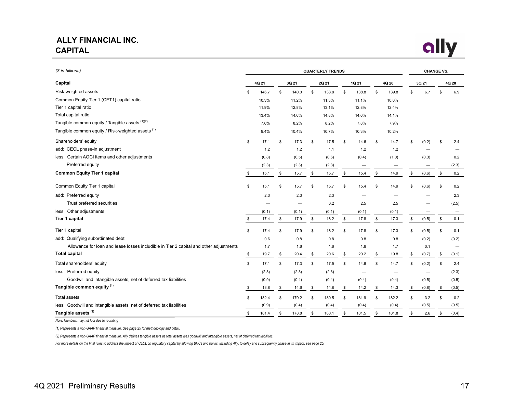## <span id="page-16-0"></span>**ALLY FINANCIAL INC. CAPITAL**



| (\$ in billions)                                                                       | <b>QUARTERLY TRENDS</b> |       |    |       |    |       |       |       | <b>CHANGE VS.</b> |                          |    |                          |    |       |
|----------------------------------------------------------------------------------------|-------------------------|-------|----|-------|----|-------|-------|-------|-------------------|--------------------------|----|--------------------------|----|-------|
| Capital                                                                                |                         | 4Q 21 |    | 3Q 21 |    | 2Q 21 | 1Q 21 |       | 4Q 20             |                          |    | 3Q 21                    |    | 4Q 20 |
| Risk-weighted assets                                                                   | \$                      | 146.7 | \$ | 140.0 | \$ | 138.8 | \$    | 138.8 | \$                | 139.8                    | \$ | 6.7                      | \$ | 6.9   |
| Common Equity Tier 1 (CET1) capital ratio                                              |                         | 10.3% |    | 11.2% |    | 11.3% |       | 11.1% |                   | 10.6%                    |    |                          |    |       |
| Tier 1 capital ratio                                                                   |                         | 11.9% |    | 12.8% |    | 13.1% |       | 12.8% |                   | 12.4%                    |    |                          |    |       |
| Total capital ratio                                                                    |                         | 13.4% |    | 14.6% |    | 14.8% |       | 14.6% |                   | 14.1%                    |    |                          |    |       |
| Tangible common equity / Tangible assets (1)(2)                                        |                         | 7.6%  |    | 8.2%  |    | 8.2%  |       | 7.8%  |                   | 7.9%                     |    |                          |    |       |
| Tangible common equity / Risk-weighted assets (1)                                      |                         | 9.4%  |    | 10.4% |    | 10.7% |       | 10.3% |                   | 10.2%                    |    |                          |    |       |
| Shareholders' equity                                                                   | \$                      | 17.1  | \$ | 17.3  | \$ | 17.5  | \$    | 14.6  | \$                | 14.7                     | \$ | (0.2)                    | \$ | 2.4   |
| add: CECL phase-in adjustment                                                          |                         | 1.2   |    | 1.2   |    | 1.1   |       | 1.2   |                   | 1.2                      |    |                          |    |       |
| less: Certain AOCI items and other adjustments                                         |                         | (0.8) |    | (0.5) |    | (0.6) |       | (0.4) |                   | (1.0)                    |    | (0.3)                    |    | 0.2   |
| Preferred equity                                                                       |                         | (2.3) |    | (2.3) |    | (2.3) |       |       |                   |                          |    | —                        |    | (2.3) |
| <b>Common Equity Tier 1 capital</b>                                                    | \$                      | 15.1  | \$ | 15.7  | \$ | 15.7  | \$    | 15.4  | \$                | 14.9                     | \$ | (0.6)                    | \$ | 0.2   |
| Common Equity Tier 1 capital                                                           | \$                      | 15.1  | \$ | 15.7  | \$ | 15.7  | \$    | 15.4  | \$                | 14.9                     | \$ | (0.6)                    | \$ | 0.2   |
| add: Preferred equity                                                                  |                         | 2.3   |    | 2.3   |    | 2.3   |       |       |                   |                          |    |                          |    | 2.3   |
| Trust preferred securities                                                             |                         |       |    |       |    | 0.2   |       | 2.5   |                   | 2.5                      |    |                          |    | (2.5) |
| less: Other adjustments                                                                |                         | (0.1) |    | (0.1) |    | (0.1) |       | (0.1) |                   | (0.1)                    |    |                          |    |       |
| Tier 1 capital                                                                         | \$                      | 17.4  | \$ | 17.9  | \$ | 18.2  | \$    | 17.8  | \$                | 17.3                     | \$ | (0.5)                    | \$ | 0.1   |
| Tier 1 capital                                                                         | \$                      | 17.4  | \$ | 17.9  | \$ | 18.2  | \$    | 17.8  | \$                | 17.3                     | \$ | (0.5)                    | \$ | 0.1   |
| add: Qualifying subordinated debt                                                      |                         | 0.6   |    | 0.8   |    | 0.8   |       | 0.8   |                   | 0.8                      |    | (0.2)                    |    | (0.2) |
| Allowance for loan and lease losses includible in Tier 2 capital and other adjustments |                         | 1.7   |    | 1.6   |    | 1.6   |       | 1.6   |                   | 1.7                      |    | 0.1                      |    |       |
| <b>Total capital</b>                                                                   | \$                      | 19.7  | \$ | 20.4  | \$ | 20.6  | \$    | 20.2  | \$                | 19.8                     | \$ | (0.7)                    | \$ | (0.1) |
| Total shareholders' equity                                                             | \$                      | 17.1  | \$ | 17.3  | \$ | 17.5  | \$    | 14.6  | \$                | 14.7                     | \$ | (0.2)                    | \$ | 2.4   |
| less: Preferred equity                                                                 |                         | (2.3) |    | (2.3) |    | (2.3) |       |       |                   | $\overline{\phantom{0}}$ |    | $\overline{\phantom{0}}$ |    | (2.3) |
| Goodwill and intangible assets, net of deferred tax liabilities                        |                         | (0.9) |    | (0.4) |    | (0.4) |       | (0.4) |                   | (0.4)                    |    | (0.5)                    |    | (0.5) |
| Tangible common equity (1)                                                             | \$                      | 13.8  | \$ | 14.6  | \$ | 14.8  | \$    | 14.2  | \$                | 14.3                     | \$ | (0.8)                    | \$ | (0.5) |
| <b>Total assets</b>                                                                    | \$                      | 182.4 | \$ | 179.2 | \$ | 180.5 | \$    | 181.9 | \$                | 182.2                    | \$ | 3.2                      | \$ | 0.2   |
| less: Goodwill and intangible assets, net of deferred tax liabilities                  |                         | (0.9) |    | (0.4) |    | (0.4) |       | (0.4) |                   | (0.4)                    |    | (0.5)                    |    | (0.5) |
| Tangible assets <sup>(2)</sup>                                                         | \$                      | 181.4 | \$ | 178.8 | \$ | 180.1 | \$    | 181.5 | \$                | 181.8                    | \$ | 2.6                      | \$ | (0.4) |

*Note: Numbers may not foot due to rounding*

*(1) Represents a non-GAAP financial measure. See page 25 for methodology and detail.*

*(2) Represents a non-GAAP financial measure. Ally defines tangible assets as total assets less goodwill and intangible assets, net of deferred tax liabilities.*

*For more details on the final rules to address the impact of CECL on regulatory capital by allowing BHCs and banks, including Ally, to delay and subsequently phase-in its impact, see page 25.*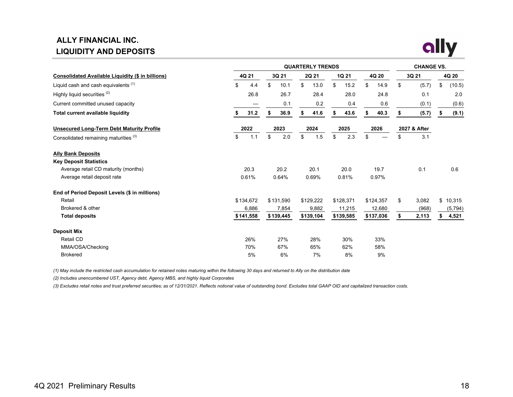# **ALLY FINANCIAL INC. LIQUIDITY AND DEPOSITS**



|                                                          |           |      | <b>CHANGE VS.</b> |           |    |           |    |           |       |           |       |              |    |          |
|----------------------------------------------------------|-----------|------|-------------------|-----------|----|-----------|----|-----------|-------|-----------|-------|--------------|----|----------|
| <b>Consolidated Available Liquidity (\$ in billions)</b> | 4Q 21     |      |                   | 3Q 21     |    | 2Q 21     |    | 1Q 21     | 4Q 20 |           | 3Q 21 |              |    | 4Q 20    |
| Liquid cash and cash equivalents <sup>(1)</sup>          | \$        | 4.4  | \$                | 10.1      | \$ | 13.0      | \$ | 15.2      | \$    | 14.9      | \$    | (5.7)        | \$ | (10.5)   |
| Highly liquid securities <sup>(2)</sup>                  |           | 26.8 |                   | 26.7      |    | 28.4      |    | 28.0      |       | 24.8      |       | 0.1          |    | 2.0      |
| Current committed unused capacity                        |           |      |                   | 0.1       |    | 0.2       |    | 0.4       |       | 0.6       |       | (0.1)        |    | (0.6)    |
| <b>Total current available liquidity</b>                 | s.        | 31.2 | \$                | 36.9      | \$ | 41.6      | \$ | 43.6      | S     | 40.3      | s.    | (5.7)        | S  | (9.1)    |
| <b>Unsecured Long-Term Debt Maturity Profile</b>         |           | 2022 |                   | 2023      |    | 2024      |    | 2025      | 2026  |           |       | 2027 & After |    |          |
| Consolidated remaining maturities <sup>(3)</sup>         | \$        | 1.1  | \$                | 2.0       | \$ | 1.5       | \$ | 2.3       | \$    |           | \$    | 3.1          |    |          |
| <b>Ally Bank Deposits</b>                                |           |      |                   |           |    |           |    |           |       |           |       |              |    |          |
| <b>Key Deposit Statistics</b>                            |           |      |                   |           |    |           |    |           |       |           |       |              |    |          |
| Average retail CD maturity (months)                      | 20.3      |      |                   | 20.2      |    | 20.1      |    | 20.0      |       | 19.7      |       | 0.1          |    | 0.6      |
| Average retail deposit rate                              | 0.61%     |      |                   | 0.64%     |    | 0.69%     |    | 0.81%     |       | 0.97%     |       |              |    |          |
| End of Period Deposit Levels (\$ in millions)            |           |      |                   |           |    |           |    |           |       |           |       |              |    |          |
| Retail                                                   | \$134,672 |      |                   | \$131,590 |    | \$129,222 |    | \$128,371 |       | \$124,357 | \$    | 3,082        |    | \$10,315 |
| Brokered & other                                         | 6,886     |      |                   | 7,854     |    | 9,882     |    | 11,215    |       | 12,680    |       | (968)        |    | (5, 794) |
| <b>Total deposits</b>                                    | \$141,558 |      |                   | \$139,445 |    | \$139,104 |    | \$139,585 |       | \$137,036 | \$    | 2,113        |    | 4,521    |
| <b>Deposit Mix</b>                                       |           |      |                   |           |    |           |    |           |       |           |       |              |    |          |
| Retail CD                                                | 26%       |      |                   | 27%       |    | 28%       |    | 30%       |       | 33%       |       |              |    |          |
| MMA/OSA/Checking                                         | 70%       |      |                   | 67%       |    | 65%       |    | 62%       |       | 58%       |       |              |    |          |
| <b>Brokered</b>                                          | 5%        |      |                   | 6%        |    | 7%        |    | 8%        |       | 9%        |       |              |    |          |

*(1) May include the restricted cash accumulation for retained notes maturing within the following 30 days and returned to Ally on the distribution date*

*(2) Includes unencumbered UST, Agency debt, Agency MBS, and highly liquid Corporates*

*(3) Excludes retail notes and trust preferred securities; as of 12/31/2021. Reflects notional value of outstanding bond. Excludes total GAAP OID and capitalized transaction costs.*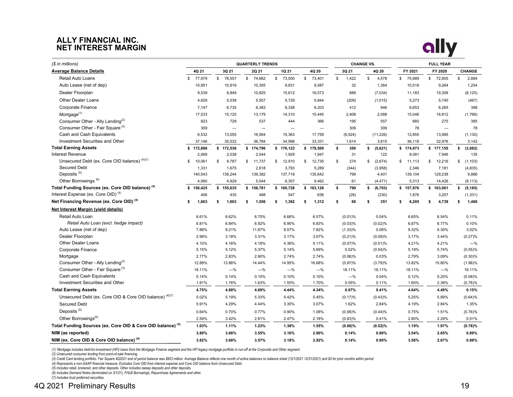#### **ALLY FINANCIAL INC. NET INTEREST MARGIN**



| (\$ in millions)                                                       |               |                          | <b>QUARTERLY TRENDS</b>  |                          |                          |             | <b>CHANGE VS.</b> | <b>FULL YEAR</b> |                          |                |  |  |  |
|------------------------------------------------------------------------|---------------|--------------------------|--------------------------|--------------------------|--------------------------|-------------|-------------------|------------------|--------------------------|----------------|--|--|--|
| <b>Average Balance Details</b>                                         | 4Q 21         | 3Q 21                    | 2Q 21                    | 1Q 21                    | 4Q 20                    | 3Q 21       | 4Q 20             | FY 2021          | FY 2020                  | CHANGE         |  |  |  |
| Retail Auto Loans                                                      | 77,979<br>\$  | \$<br>76,557             | \$<br>74,662             | \$<br>73,500             | 73,401<br>\$             | \$<br>1,422 | \$<br>4,578       | \$<br>75,689     | \$<br>72,805             | \$<br>2,884    |  |  |  |
| Auto Lease (net of dep)                                                | 10,951        | 10,919                   | 10,355                   | 9,831                    | 9,587                    | 32          | 1,364             | 10,518           | 9,264                    | 1,254          |  |  |  |
| Dealer Floorplan                                                       | 9,539         | 8,849                    | 10,825                   | 15,612                   | 16,573                   | 689         | (7,034)           | 11,183           | 19,308                   | (8, 125)       |  |  |  |
| <b>Other Dealer Loans</b>                                              | 4,829         | 5,038                    | 5,507                    | 5,729                    | 5,844                    | (209)       | (1,015)           | 5,273            | 5,740                    | (467)          |  |  |  |
| <b>Corporate Finance</b>                                               | 7,147         | 6,735                    | 6,383                    | 6,338                    | 6,203                    | 412         | 946               | 6,653            | 6,265                    | 388            |  |  |  |
| Mortgage <sup>(1)</sup>                                                | 17,533        | 15,125                   | 13,179                   | 14,310                   | 15,445                   | 2,408       | 2,088             | 15,046           | 16,812                   | (1,766)        |  |  |  |
| Consumer Other - Ally Lending <sup>(2)</sup>                           | 923           | 728                      | 537                      | 444                      | 366                      | 195         | 557               | 660              | 275                      | 385            |  |  |  |
| Consumer Other - Fair Square <sup>(3)</sup>                            | 309           | $\overline{\phantom{0}}$ | $\overline{\phantom{0}}$ | $\overline{\phantom{0}}$ | $\overline{\phantom{0}}$ | 309         | 309               | 78               | $\overline{\phantom{0}}$ | 78             |  |  |  |
| Cash and Cash Equivalents                                              | 6,532         | 13,055                   | 16,564                   | 15,363                   | 17,758                   | (6, 524)    | (11, 226)         | 12,855           | 13,985                   | (1, 130)       |  |  |  |
| <b>Investment Securities and Other</b>                                 | 37,146        | 35,532                   | 36,784                   | 34,996                   | 33,331                   | 1,614       | 3,815             | 36,118           | 32,976                   | 3,142          |  |  |  |
| <b>Total Earning Assets</b>                                            | \$172,888     | \$172,538                | \$174,796                | \$176,123                | \$178,509                | \$<br>350   | \$<br>(5,621)     | \$174,073        | \$177,155                | \$<br>(3,082)  |  |  |  |
| <b>Interest Revenue</b>                                                | 2,069         | 2,038                    | 2,044                    | 1,929                    | 1,947                    | 31          | 122               | 8,081            | 7,946                    | 135            |  |  |  |
| Unsecured Debt (ex. Core OID balance) (4)(7)                           | \$<br>10,061  | \$<br>9,787              | \$<br>11,737             | \$<br>12,910             | \$<br>12,735             | 274<br>\$   | \$<br>(2,674)     | \$11,113         | 12,216<br>\$             | \$<br>(1, 103) |  |  |  |
| <b>Secured Debt</b>                                                    | 1,331         | 1,675                    | 2,618                    | 3,793                    | 5,289                    | (344)       | (3,958)           | 2,346            | 7,181                    | (4, 835)       |  |  |  |
| Deposits <sup>(5)</sup>                                                | 140,043       | 139,244                  | 139,382                  | 137,718                  | 135,642                  | 799         | 4,401             | 139,104          | 129,238                  | 9,866          |  |  |  |
| Other Borrowings <sup>(6)</sup>                                        | 4,990         | 4,929                    | 5,044                    | 6,307                    | 9,462                    | 61          | (4, 471)          | 5,313            | 14,426                   | (9, 113)       |  |  |  |
| Total Funding Sources (ex. Core OID balance) <sup>(4)</sup>            | 156,425<br>\$ | \$155,635                | \$158,781                | \$160,728                | \$163,128                | 790<br>\$   | \$<br>(6, 703)    | \$157,876        | \$163,061                | \$<br>(5, 185) |  |  |  |
| Interest Expense (ex. Core OID) <sup>(4)</sup>                         | 406           | 435                      | 488                      | 547                      | 636                      | (28)        | (230)             | 1,876            | 3,207                    | (1, 331)       |  |  |  |
| Net Financing Revenue (ex. Core OID) <sup>(4)</sup>                    | 1,663<br>\$   | \$<br>1,603              | \$<br>1,556              | 1,382<br>\$              | 1,312<br>\$              | 60<br>\$    | \$<br>351         | 6,205<br>\$      | 4,739<br>\$              | 1,466<br>\$    |  |  |  |
| Net Interest Margin (yield details)                                    |               |                          |                          |                          |                          |             |                   |                  |                          |                |  |  |  |
| Retail Auto Loan                                                       | 6.61%         | 6.62%                    | 6.70%                    | 6.66%                    | 6.57%                    | $(0.01)\%$  | 0.04%             | 6.65%            | 6.54%                    | 0.11%          |  |  |  |
| Retail Auto Loan (excl. hedge impact)                                  | 6.81%         | 6.84%                    | 6.92%                    | 6.90%                    | 6.83%                    | (0.03)%     | (0.02)%           | 6.87%            | 6.77%                    | 0.10%          |  |  |  |
| Auto Lease (net of dep)                                                | 7.88%         | 9.21%                    | 11.67%                   | 8.57%                    | 7.82%                    | $(1.33)\%$  | 0.06%             | 9.32%            | 6.30%                    | 3.02%          |  |  |  |
| Dealer Floorplan                                                       | 2.98%         | 3.18%                    | 3.31%                    | 3.17%                    | 3.07%                    | $(0.21)\%$  | (0.09)%           | 3.17%            | 3.44%                    | (0.27)%        |  |  |  |
| <b>Other Dealer Loans</b>                                              | 4.10%         | 4.16%                    | 4.18%                    | 4.36%                    | 4.11%                    | (0.07)%     | $(0.01)\%$        | 4.21%            | 4.21%                    | $-$ %          |  |  |  |
| Corporate Finance                                                      | 5.15%         | 5.12%                    | 5.37%                    | 5.14%                    | 5.69%                    | 0.02%       | (0.54)%           | 5.19%            | 5.74%                    | $(0.55)$ %     |  |  |  |
| Mortgage                                                               | 2.77%         | 2.83%                    | 2.80%                    | 2.74%                    | 2.74%                    | $(0.06)\%$  | 0.03%             | 2.79%            | 3.09%                    | $(0.30)\%$     |  |  |  |
| Consumer Other - Ally Lending <sup>(2)</sup>                           | 12.89%        | 13.86%                   | 14.44%                   | 14.95%                   | 16.68%                   | (0.97)%     | (3.79)%           | 13.82%           | 15.80%                   | (1.98)%        |  |  |  |
| Consumer Other - Fair Square <sup>(3)</sup>                            | 18.11%        | $-%$                     | $-$ %                    | $-%$                     | $-%$                     | 18.11%      | 18.11%            | 18.11%           | $-$ %                    | 18.11%         |  |  |  |
| Cash and Cash Equivalents                                              | 0.14%         | 0.14%                    | 0.10%                    | 0.10%                    | 0.10%                    | $-$ %       | 0.04%             | 0.12%            | 0.20%                    | (0.08)%        |  |  |  |
| Investment Securities and Other                                        | 1.81%         | 1.76%                    | 1.63%                    | 1.55%                    | 1.70%                    | 0.05%       | 0.11%             | 1.60%            | 2.38%                    | (0.78)%        |  |  |  |
| <b>Total Earning Assets</b>                                            | 4.75%         | 4.68%                    | 4.69%                    | 4.44%                    | 4.34%                    | 0.07%       | 0.41%             | 4.64%            | 4.49%                    | 0.15%          |  |  |  |
| Unsecured Debt (ex. Core OID & Core OID balance) (4)(7)                | 5.02%         | 5.19%                    | 5.33%                    | 5.42%                    | 5.45%                    | (0.17)%     | (0.43)%           | 5.25%            | 5.89%                    | (0.64)%        |  |  |  |
| <b>Secured Debt</b>                                                    | 5.91%         | 4.29%                    | 4.44%                    | 3.35%                    | 3.07%                    | 1.62%       | 2.84%             | 4.19%            | 2.84%                    | 1.35%          |  |  |  |
| Deposits <sup>(5)</sup>                                                | 0.64%         | 0.70%                    | 0.77%                    | 0.90%                    | 1.08%                    | $(0.06)\%$  | (0.44)%           | 0.75%            | 1.51%                    | (0.76)%        |  |  |  |
| Other Borrowings <sup>(6)</sup>                                        | 2.59%         | 3.42%                    | 2.81%                    | 2.47%                    | 2.18%                    | $(0.83)\%$  | 0.41%             | 2.80%            | 2.29%                    | 0.51%          |  |  |  |
| Total Funding Sources (ex. Core OID & Core OID balance) <sup>(4)</sup> | 1.03%         | 1.11%                    | 1.23%                    | 1.38%                    | 1.55%                    | (0.08)%     | $(0.52)\%$        | 1.19%            | 1.97%                    | (0.78)%        |  |  |  |
| NIM (as reported)                                                      | 3.80%         | 3.66%                    | 3.55%                    | 3.16%                    | 2.90%                    | 0.14%       | 0.90%             | 3.54%            | 2.65%                    | 0.89%          |  |  |  |
| NIM (ex. Core OID & Core OID balance) (4)                              | 3.82%         | 3.68%                    | 3.57%                    | 3.18%                    | 2.92%                    | 0.14%       | 0.90%             | 3.56%            | 2.67%                    | 0.89%          |  |  |  |

(1) 'Mortgage includes held-for-investment (HFI) loans from the Mortgage Finance segment and the HFI legacy mortgage portfolio in run-off at the Corporate and Other segment.<br>(2) Unsecured consumer lending from point-of-sal

(3) Credit Card lending portfolio. Fair Square 4Q2021 end of period balance was \$953 million. Average Balance reflects one month of active balances on balance sheet (12/1/2021 12/31/2021) and \$0 for prior months within per

(4) Represents a non-GAAP financial measure. Excludes Core OID from interest expense and Core OID balance from Unsecured Debt.<br>(5) Includes retail, brokered, and other deposits. Other includes sweep deposits and other depo

*(6) Includes Demand Notes (terminated on 3/1/21), FHLB Borrowings, Repurchase Agreements and other. (7) Includes trust preferred securities.*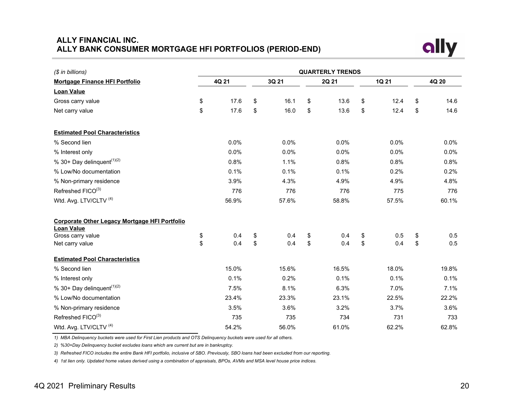## <span id="page-19-0"></span>**ALLY FINANCIAL INC. ALLY BANK CONSUMER MORTGAGE HFI PORTFOLIOS (PERIOD-END)**



| (\$ in billions)                                                          | <b>QUARTERLY TRENDS</b> |       |    |       |               |       |    |       |    |         |  |  |  |  |
|---------------------------------------------------------------------------|-------------------------|-------|----|-------|---------------|-------|----|-------|----|---------|--|--|--|--|
| <b>Mortgage Finance HFI Portfolio</b>                                     |                         | 4Q 21 |    | 3Q 21 |               | 2Q 21 |    | 1Q 21 |    | 4Q 20   |  |  |  |  |
| <b>Loan Value</b>                                                         |                         |       |    |       |               |       |    |       |    |         |  |  |  |  |
| Gross carry value                                                         | \$                      | 17.6  | \$ | 16.1  | \$            | 13.6  | \$ | 12.4  | \$ | 14.6    |  |  |  |  |
| Net carry value                                                           | \$                      | 17.6  | \$ | 16.0  | \$            | 13.6  | \$ | 12.4  | \$ | 14.6    |  |  |  |  |
| <b>Estimated Pool Characteristics</b>                                     |                         |       |    |       |               |       |    |       |    |         |  |  |  |  |
| % Second lien                                                             |                         | 0.0%  |    | 0.0%  |               | 0.0%  |    | 0.0%  |    | $0.0\%$ |  |  |  |  |
| % Interest only                                                           |                         | 0.0%  |    | 0.0%  |               | 0.0%  |    | 0.0%  |    | $0.0\%$ |  |  |  |  |
| % 30+ Day delinquent <sup><math>(1)(2)</math></sup>                       |                         | 0.8%  |    | 1.1%  |               | 0.8%  |    | 0.8%  |    | 0.8%    |  |  |  |  |
| % Low/No documentation                                                    |                         | 0.1%  |    | 0.1%  |               | 0.1%  |    | 0.2%  |    | 0.2%    |  |  |  |  |
| % Non-primary residence                                                   |                         | 3.9%  |    | 4.3%  |               | 4.9%  |    | 4.9%  |    | 4.8%    |  |  |  |  |
| Refreshed FICO(3)                                                         |                         | 776   |    | 776   |               | 776   |    | 775   |    | 776     |  |  |  |  |
| Wtd. Avg. LTV/CLTV <sup>(4)</sup>                                         |                         | 56.9% |    | 57.6% |               | 58.8% |    | 57.5% |    | 60.1%   |  |  |  |  |
| <b>Corporate Other Legacy Mortgage HFI Portfolio</b><br><b>Loan Value</b> |                         |       |    |       |               |       |    |       |    |         |  |  |  |  |
| Gross carry value                                                         | \$                      | 0.4   | \$ | 0.4   | \$            | 0.4   | \$ | 0.5   | \$ | 0.5     |  |  |  |  |
| Net carry value                                                           | \$                      | 0.4   | \$ | 0.4   | $\mathsf{\$}$ | 0.4   | \$ | 0.4   | \$ | 0.5     |  |  |  |  |
| <b>Estimated Pool Characteristics</b>                                     |                         |       |    |       |               |       |    |       |    |         |  |  |  |  |
| % Second lien                                                             |                         | 15.0% |    | 15.6% |               | 16.5% |    | 18.0% |    | 19.8%   |  |  |  |  |
| % Interest only                                                           |                         | 0.1%  |    | 0.2%  |               | 0.1%  |    | 0.1%  |    | 0.1%    |  |  |  |  |
| % 30+ Day delinquent $(1)(2)$                                             |                         | 7.5%  |    | 8.1%  |               | 6.3%  |    | 7.0%  |    | 7.1%    |  |  |  |  |
| % Low/No documentation                                                    |                         | 23.4% |    | 23.3% |               | 23.1% |    | 22.5% |    | 22.2%   |  |  |  |  |
| % Non-primary residence                                                   |                         | 3.5%  |    | 3.6%  |               | 3.2%  |    | 3.7%  |    | 3.6%    |  |  |  |  |
| Refreshed FICO(3)                                                         |                         | 735   |    | 735   |               | 734   |    | 731   |    | 733     |  |  |  |  |
| Wtd. Avg. LTV/CLTV <sup>(4)</sup>                                         |                         | 54.2% |    | 56.0% |               | 61.0% |    | 62.2% |    | 62.8%   |  |  |  |  |

*1) MBA Delinquency buckets were used for First Lien products and OTS Delinquency buckets were used for all others.*

*2) %30+Day Delinquency bucket excludes loans which are current but are in bankruptcy.*

*3) Refreshed FICO includes the entire Bank HFI portfolio, inclusive of SBO. Previously, SBO loans had been excluded from our reporting.*

*4) 1st lien only. Updated home values derived using a combination of appraisals, BPOs, AVMs and MSA level house price indices.*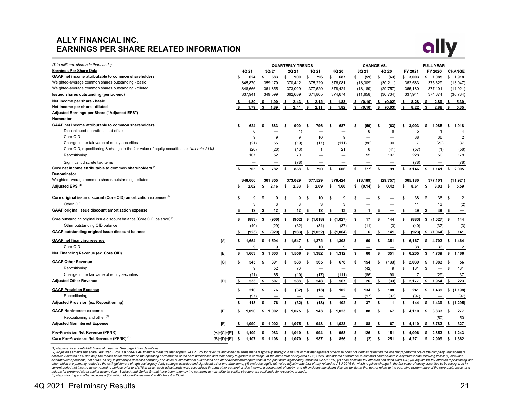### **ALLY FINANCIAL INC. EARNINGS PER SHARE RELATED INFORMATION**



| (\$ in millions, shares in thousands)                                                      |               |     |         | <b>QUARTERLY TRENDS</b> |          |     |              |              |                          |     |                          |    | <b>CHANGE VS</b> |    |           |    | <b>FULL YEAR</b> |      |                   |      |                |
|--------------------------------------------------------------------------------------------|---------------|-----|---------|-------------------------|----------|-----|--------------|--------------|--------------------------|-----|--------------------------|----|------------------|----|-----------|----|------------------|------|-------------------|------|----------------|
| <b>Earnings Per Share Data</b>                                                             |               |     | 4Q 21   |                         | 3Q 21    |     | <b>2Q 21</b> |              | 1Q 21                    |     | 4Q 20                    |    | 3Q 21            |    | 4Q 20     |    | FY 2021          |      | FY 2020           |      | <b>CHANGE</b>  |
| GAAP net income attributable to common shareholders                                        |               | S   | 624     | \$                      | 683      | \$  | 900          | \$           | 796                      | \$  | 687                      | \$ | (59)             | \$ | (63)      | \$ | 3,003            |      | \$ 1,085          | s    | 1,918          |
| Weighted-average common shares outstanding - basic                                         |               |     | 345,870 |                         | 359,179  |     | 370,412      |              | 375,229                  |     | 376,081                  |    | (13, 309)        |    | (30, 211) |    | 362,583          |      | 375,629           |      | (13, 047)      |
| Weighted-average common shares outstanding - diluted                                       |               |     | 348,666 |                         | 361,855  |     | 373,029      |              | 377,529                  |     | 378,424                  |    | (13, 189)        |    | (29, 757) |    | 365,180          |      | 377,101           |      | (11, 921)      |
| Issued shares outstanding (period-end)                                                     |               |     | 337,941 |                         | 349,599  |     | 362,639      |              | 371,805                  |     | 374,674                  |    | (11,658)         |    | (36, 734) |    | 337,941          |      | 374,674           |      | (36, 734)      |
| Net income per share - basic                                                               |               |     | 1.80    | \$                      | 1.90     | s.  | 2.43         | s.           | 2.12                     | s.  | 1.83                     | \$ | (0.10)           | s. | (0.02)    | s. | 8.28             | s.   | 2.89              | s.   | 5.39           |
| Net income per share - diluted                                                             |               | s.  | 1.79    | S.                      | 1.89     | S.  | 2.41         | s.           | 2.11                     | -S  | 1.82                     | s. | (0.10)           | s. | (0.03)    | s. | 8.22             | s.   | 2.88              | -S   | 5.35           |
| Adjusted Earnings per Share ("Adjusted EPS")                                               |               |     |         |                         |          |     |              |              |                          |     |                          |    |                  |    |           |    |                  |      |                   |      |                |
| Numerator                                                                                  |               |     |         |                         |          |     |              |              |                          |     |                          |    |                  |    |           |    |                  |      |                   |      |                |
| GAAP net income attributable to common shareholders                                        |               | s   | 624     | \$                      | 683      | \$. | 900          | \$           | 796                      | £.  | 687                      | £. | (59)             | s  | (63)      | \$ | 3.003            | \$   | 1.085             | s.   | 1,918          |
| Discontinued operations, net of tax                                                        |               |     | 6       |                         |          |     | (1)          |              |                          |     |                          |    | 6                |    | 6         |    | 5                |      | 1                 |      | $\overline{4}$ |
| Core OID                                                                                   |               |     | 9       |                         | 9        |     | 9            |              | 10                       |     | 9                        |    |                  |    |           |    | 38               |      | 36                |      | $\overline{2}$ |
| Change in the fair value of equity securities                                              |               |     | (21)    |                         | 65       |     | (19)         |              | (17)                     |     | (111)                    |    | (86)             |    | 90        |    | $\overline{7}$   |      | (29)              |      | 37             |
| Core OID, repositioning & change in the fair value of equity securities tax (tax rate 21%) |               |     | (20)    |                         | (26)     |     | (13)         |              | $\overline{1}$           |     | 21                       |    | 6                |    | (41)      |    | (57)             |      | (1)               |      | (56)           |
| Repositioning                                                                              |               |     | 107     |                         | 52       |     | 70           |              | $\overline{\phantom{0}}$ |     | $\overline{\phantom{0}}$ |    | 55               |    | 107       |    | 228              |      | 50                |      | 178            |
| Significant discrete tax items                                                             |               |     |         |                         |          |     | (78)         |              |                          |     |                          |    |                  |    |           |    | (78)             |      |                   |      | (78)           |
| Core net income attributable to common shareholders <sup>(1)</sup>                         |               | \$  | 705     | \$                      | 782      | s.  | 868          | s.           | 790                      | \$  | 606                      | \$ | (77)             | \$ | 99        | \$ | 3.146            | s.   | 1.141             | s.   | 2.005          |
| Denominator                                                                                |               |     |         |                         |          |     |              |              |                          |     |                          |    |                  |    |           |    |                  |      |                   |      |                |
| Weighted-average common shares outstanding - diluted                                       |               |     | 348.666 |                         | 361.855  |     | 373.029      |              | 377.529                  |     | 378,424                  |    | (13, 189)        |    | (29, 757) |    | 365.180          |      | 377.101           |      | (11, 921)      |
| Adjusted EPS <sup>(2)</sup>                                                                |               | s   | 2.02    | s                       | 2.16     | s   | 2.33         | s.           | 2.09                     | \$  | 1.60                     | \$ | (0.14)           | \$ | 0.42      | \$ | 8.61             | s    | 3.03              | \$   | 5.59           |
| Core original issue discount (Core OID) amortization expense (1)                           |               | S   | 9       | \$                      | 9        | \$. | 9            | \$.          | 10                       | \$  | 9                        |    |                  |    |           | £  | 38               | - \$ | 36                | - \$ | $\overline{2}$ |
| Other OID                                                                                  |               |     | 3       |                         | 3        |     | 3            |              | 3                        |     | 3                        |    |                  |    |           |    | 11               |      | 13                |      | (2)            |
| GAAP original issue discount amortization expense                                          |               |     | 12      | \$                      | 12       | Ŝ.  | 12           | Ŝ.           | 12                       | ŝ.  | 13                       | \$ | -1               | -S |           | s  | 49               | \$.  | 49                |      |                |
| Core outstanding original issue discount balance (Core OID balance) <sup>(1)</sup>         |               | \$  | (883)   | \$                      | (900)    | \$  | (952)        |              | \$(1,018)                |     | \$(1,027)                | \$ | 17               | \$ | 144       | \$ | (883)            | \$   | (1,027)           | -S   | 144            |
| Other outstanding OID balance                                                              |               |     | (40)    |                         | (29)     |     | (32)         |              |                          |     | (37)                     |    |                  |    |           |    | (40)             |      |                   |      | (3)            |
| GAAP outstanding original issue discount balance                                           |               |     |         |                         |          |     |              |              | (34)                     |     |                          |    | (11)             |    | (3)       |    |                  |      | (37)              |      |                |
|                                                                                            |               | \$  | (923)   | \$                      | (929)    | \$  | (983)        |              | \$(1,052)                |     | \$(1,064)                | \$ | 6                | \$ | 141       | \$ | (923)            |      | \$(1,064)         | -\$  | 141            |
| <b>GAAP net financing revenue</b>                                                          | [A]           | \$  | 1.654   | \$                      | 1.594    | \$  | 1.547        | \$           | 1,372                    | \$  | 1,303                    | \$ | 60               | \$ | 351       | \$ | 6,167            | \$   | 4,703             | \$   | 1,464          |
| Core OID                                                                                   |               |     | 9       |                         | 9        |     | 9            |              | 10                       |     | 9                        |    |                  |    |           |    | 38               |      | 36                |      | 2              |
| Net Financing Revenue (ex. Core OID)                                                       | [B]           | \$  | 1,663   |                         | \$ 1,603 |     | \$ 1,556     |              | \$ 1,382                 |     | \$1,312                  | \$ | 60               | \$ | 351       | \$ | 6,205            |      | \$4,739           |      | \$ 1,466       |
| <b>GAAP Other Revenue</b>                                                                  | [C]           | \$  | 545     | s                       | 391      | -S  | 538          | s            | 565                      | s   | 678                      | \$ | 154              | s  | (133)     | s  | 2.039            | s    | 1.983             | - \$ | 56             |
| Repositioning                                                                              |               |     | 9       |                         | 52       |     | 70           |              |                          |     | $\overline{\phantom{0}}$ |    | (42)             |    | 9         | \$ | 131              | \$   | $\qquad \qquad -$ | \$   | 131            |
| Change in the fair value of equity securities                                              |               |     | (21)    |                         | 65       |     | (19)         |              | (17)                     |     | (111)                    |    | (86)             |    | 90        |    | $\overline{7}$   |      | (29)              |      | 37             |
| <b>Adjusted Other Revenue</b>                                                              | [D]           | - 5 | 533     | \$                      | 507      | \$  | 588          | \$           | 548                      | s   | 567                      | \$ | 26               | \$ | (33)      | \$ | 2,177            | s.   | 1,954             | s.   | 223            |
| <b>GAAP Provision Expense</b>                                                              |               | \$  | 210     | \$                      | 76       | -\$ | (32)         | $\mathbf{s}$ | (13)                     | -\$ | 102                      | \$ | 134              | \$ | 108       | \$ | 241              | \$   | 1,439             | \$   | (1, 198)       |
| Repositioning                                                                              |               |     | (97)    |                         |          |     |              |              |                          |     | $\overline{\phantom{0}}$ |    | (97)             |    | (97)      |    | (97)             |      |                   |      | (97)           |
| <b>Adjusted Provision (ex. Repositioning)</b>                                              |               | \$  | 113     | \$                      | 76       | \$  | (32)         | -\$          | (13)                     | \$  | 102                      | \$ | 37               | \$ | 11        | \$ | 144              | \$   | 1,439             |      | \$(1,295)      |
| <b>GAAP Noninterest expense</b>                                                            | [E]           | s   | 1.090   | s                       | 1.002    | s.  | 1.075        | - \$         | 943                      | \$  | 1.023                    | \$ | 88               | s  | 67        | s  | 4.110            | s    | 3,833             | -S   | 277            |
| Repositioning and other (3)                                                                |               |     |         |                         |          |     |              |              |                          |     |                          |    |                  |    |           |    |                  |      | (50)              |      | 50             |
| <b>Adjusted Noninterest Expense</b>                                                        | [F]           | \$  | 1,090   |                         | \$ 1,002 |     | \$ 1,075     | \$           | 943                      | \$  | 1,023                    | \$ | 88               | \$ | 67        | \$ | 4,110            | \$   | 3,783             | - \$ | 327            |
|                                                                                            |               |     |         |                         |          |     |              |              |                          |     |                          |    |                  |    |           |    |                  |      |                   |      |                |
| <b>Pre-Provision Net Revenue (PPNR)</b>                                                    | $[A]+[C]+[E]$ | \$  | 1,109   | \$                      | 983      | \$  | 1,010        | \$           | 994                      | \$  | 958                      | \$ | 126              | \$ | 151       | \$ | 4,096            | \$   | 2,853             | \$   | 1,243          |
| Core Pre-Provision Net Revenue (PPNR) <sup>(1)</sup>                                       | $[B]+[D]+[F]$ | \$  | 1,107   | \$                      | 1,108    | \$  | 1,070        | \$           | 987                      | \$  | 856                      | \$ | (2)              | \$ | 251       | \$ | 4,271            | \$   | 2,909             | \$   | 1,362          |

*(1) Represents a non-GAAP financial measure. See page 25 for definitions.*

(2) Adjusted earnings per share (Adjusted EPS) is a non-GAAP financial measure that adjusts GAAP EPS for revenue and expense items that are typically strategic in nature or that management otherwise does not view as reflec current period net income as compared to periods prior to 1/1/18 in which such adjustments were recognized through other comprehensive income, a component of equity, and (5) excludes significant discrete tax items that do adjusts for preferred stock capital actions (e.g., Series A and Series G) that have been taken by the company to normalize its capital structure, as applicable for respective periods.<br>(3) Repositioning and other includes a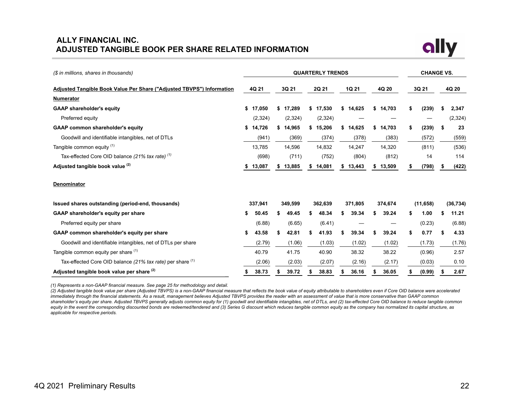## <span id="page-21-0"></span>**ALLY FINANCIAL INC. ADJUSTED TANGIBLE BOOK PER SHARE RELATED INFORMATION**



| (\$ in millions, shares in thousands)                                  |    | <b>QUARTERLY TRENDS</b> |    |          |       |          |       |          |       |         | <b>CHANGE VS.</b> |           |    |           |  |
|------------------------------------------------------------------------|----|-------------------------|----|----------|-------|----------|-------|----------|-------|---------|-------------------|-----------|----|-----------|--|
| Adjusted Tangible Book Value Per Share ("Adjusted TBVPS") Information  |    | 4Q 21                   |    | 3Q 21    | 2Q 21 |          | 1Q 21 |          | 4Q 20 |         |                   | 3Q 21     |    | 4Q 20     |  |
| <b>Numerator</b>                                                       |    |                         |    |          |       |          |       |          |       |         |                   |           |    |           |  |
| <b>GAAP shareholder's equity</b>                                       |    | \$17,050                |    | \$17,289 |       | \$17,530 |       | \$14,625 | \$    | 14,703  | \$                | (239)     | S  | 2,347     |  |
| Preferred equity                                                       |    | (2,324)                 |    | (2,324)  |       | (2,324)  |       |          |       |         |                   |           |    | (2, 324)  |  |
| <b>GAAP common shareholder's equity</b>                                |    | \$14,726                | S. | 14,965   | s.    | 15,206   | S.    | 14,625   | \$    | 14,703  | \$                | (239)     | \$ | 23        |  |
| Goodwill and identifiable intangibles, net of DTLs                     |    | (941)                   |    | (369)    |       | (374)    |       | (378)    |       | (383)   |                   | (572)     |    | (559)     |  |
| Tangible common equity (1)                                             |    | 13,785                  |    | 14,596   |       | 14,832   |       | 14,247   |       | 14,320  |                   | (811)     |    | (536)     |  |
| Tax-effected Core OID balance $(21\% \text{ tax rate})$ <sup>(1)</sup> |    | (698)                   |    | (711)    |       | (752)    |       | (804)    |       | (812)   |                   | 14        |    | 114       |  |
| Adjusted tangible book value (2)                                       | S. | 13,087                  |    | 13,885   | S.    | 14,081   | \$    | 13,443   | \$    | 13,509  | S                 | (798)     |    | (422)     |  |
| <b>Denominator</b>                                                     |    |                         |    |          |       |          |       |          |       |         |                   |           |    |           |  |
| Issued shares outstanding (period-end, thousands)                      |    | 337,941                 |    | 349,599  |       | 362,639  |       | 371,805  |       | 374,674 |                   | (11, 658) |    | (36, 734) |  |
| GAAP shareholder's equity per share                                    | S  | 50.45                   |    | 49.45    |       | 48.34    |       | 39.34    | S.    | 39.24   | \$                | 1.00      |    | 11.21     |  |
| Preferred equity per share                                             |    | (6.88)                  |    | (6.65)   |       | (6.41)   |       |          |       |         |                   | (0.23)    |    | (6.88)    |  |
| GAAP common shareholder's equity per share                             | \$ | 43.58                   |    | 42.81    |       | 41.93    |       | 39.34    | S     | 39.24   | \$                | 0.77      | S  | 4.33      |  |
| Goodwill and identifiable intangibles, net of DTLs per share           |    | (2.79)                  |    | (1.06)   |       | (1.03)   |       | (1.02)   |       | (1.02)  |                   | (1.73)    |    | (1.76)    |  |
| Tangible common equity per share (1)                                   |    | 40.79                   |    | 41.75    |       | 40.90    |       | 38.32    |       | 38.22   |                   | (0.96)    |    | 2.57      |  |
| Tax-effected Core OID balance (21% tax rate) per share (1)             |    | (2.06)                  |    | (2.03)   |       | (2.07)   |       | (2.16)   |       | (2.17)  |                   | (0.03)    |    | 0.10      |  |
| Adjusted tangible book value per share (2)                             | \$ | 38.73                   |    | 39.72    |       | 38.83    |       | 36.16    |       | 36.05   | \$                | (0.99)    |    | 2.67      |  |

*(1) Represents a non-GAAP financial measure. See page 25 for methodology and detail.*

*(2) Adjusted tangible book value per share (Adjusted TBVPS) is a non-GAAP financial measure that reflects the book value of equity attributable to shareholders even if Core OID balance were accelerated immediately through the financial statements. As a result, management believes Adjusted TBVPS provides the reader with an assessment of value that is more conservative than GAAP common shareholder's equity per share. Adjusted TBVPS generally adjusts common equity for (1) goodwill and identifiable intangibles, net of DTLs, and (2) tax-effected Core OID balance to reduce tangible common*  equity in the event the corresponding discounted bonds are redeemed/tendered and (3) Series G discount which reduces tangible common equity as the company has normalized its capital structure, as *applicable for respective periods.*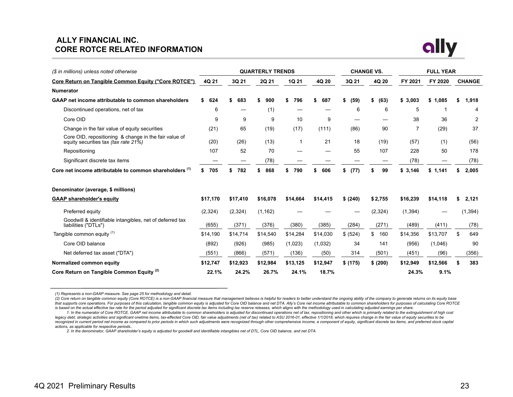## **ALLY FINANCIAL INC. CORE ROTCE RELATED INFORMATION**



| (\$ in millions) unless noted otherwise                                                       |           |           | <b>QUARTERLY TRENDS</b> |           |          |            | <b>CHANGE VS.</b> | <b>FULL YEAR</b> |          |               |  |  |  |
|-----------------------------------------------------------------------------------------------|-----------|-----------|-------------------------|-----------|----------|------------|-------------------|------------------|----------|---------------|--|--|--|
| Core Return on Tangible Common Equity ("Core ROTCE")                                          | 4Q 21     | 3Q 21     | 2Q 21                   | 1Q 21     | 4Q 20    | 3Q 21      | 4Q 20             | FY 2021          | FY 2020  | <b>CHANGE</b> |  |  |  |
| <b>Numerator</b>                                                                              |           |           |                         |           |          |            |                   |                  |          |               |  |  |  |
| GAAP net income attributable to common shareholders                                           | \$<br>624 | 683<br>\$ | 900<br>S                | 796<br>\$ | 687      | (59)<br>\$ | (63)<br>S.        | \$3.003          | \$1.085  | 1,918<br>S    |  |  |  |
| Discontinued operations, net of tax                                                           | 6         |           | (1)                     |           |          | 6          | 6                 | 5                |          | 4             |  |  |  |
| Core OID                                                                                      | 9         | 9         | 9                       | 10        | 9        |            |                   | 38               | 36       | 2             |  |  |  |
| Change in the fair value of equity securities                                                 | (21)      | 65        | (19)                    | (17)      | (111)    | (86)       | 90                | 7                | (29)     | 37            |  |  |  |
| Core OID, repositioning & change in the fair value of<br>equity securities tax (tax rate 21%) | (20)      | (26)      | (13)                    |           | 21       | 18         | (19)              | (57)             | (1)      | (56)          |  |  |  |
| Repositioning                                                                                 | 107       | 52        | 70                      |           |          | 55         | 107               | 228              | 50       | 178           |  |  |  |
| Significant discrete tax items                                                                |           |           | (78)                    |           |          |            |                   | (78)             |          | (78)          |  |  |  |
| Core net income attributable to common shareholders (1)                                       | 705<br>S  | 782       | 868                     | 790<br>\$ | 606      | \$<br>(77) | 99                | \$3.146          | \$1,141  | 2,005         |  |  |  |
| Denominator (average, \$ millions)                                                            |           |           |                         |           |          |            |                   |                  |          |               |  |  |  |
| <b>GAAP shareholder's equity</b>                                                              | \$17,170  | \$17,410  | \$16,078                | \$14,664  | \$14,415 | \$ (240)   | \$2,755           | \$16,239         | \$14,118 | 2,121<br>S.   |  |  |  |
| Preferred equity                                                                              | (2, 324)  | (2, 324)  | (1, 162)                |           |          |            | (2, 324)          | (1, 394)         |          | (1, 394)      |  |  |  |
| Goodwill & identifiable intangibles, net of deferred tax<br>liabilities ("DTLs")              | (655)     | (371)     | (376)                   | (380)     | (385)    | (284)      | (271)             | (489)            | (411)    | (78)          |  |  |  |
| Tangible common equity (1)                                                                    | \$14,190  | \$14,714  | \$14,540                | \$14,284  | \$14,030 | \$ (524)   | \$<br>160         | \$14,356         | \$13,707 | \$<br>649     |  |  |  |
| Core OID balance                                                                              | (892)     | (926)     | (985)                   | (1,023)   | (1,032)  | 34         | 141               | (956)            | (1,046)  | 90            |  |  |  |
| Net deferred tax asset ("DTA")                                                                | (551)     | (866)     | (571)                   | (136)     | (50)     | 314        | (501)             | (451)            | (96)     | (356)         |  |  |  |
| Normalized common equity                                                                      | \$12,747  | \$12,923  | \$12,984                | \$13,125  | \$12,947 | \$ (175)   | \$ (200)          | \$12,949         | \$12,566 | 383<br>S      |  |  |  |
| Core Return on Tangible Common Equity <sup>(2)</sup>                                          | 22.1%     | 24.2%     | 26.7%                   | 24.1%     | 18.7%    |            |                   | 24.3%            | 9.1%     |               |  |  |  |

*(1) Represents a non-GAAP measure. See page 25 for methodology and detail.* 

(2) Core return on tangible common equity (Core ROTCE) is a non-GAAP financial measure that management believes is helpful for readers to better understand the ongoing ability of the company to generate returns on its equi that supports core operations. For purposes of this calculation, tangible common equity is adjusted for Core OID balance and net DTA. Ally's Core net income attributable to common shareholders for purposes of calculating C *is based on the actual effective tax rate for the period adjusted for significant discrete tax items including tax reserve releases, which aligns with the methodology used in calculating adjusted earnings per share.*

<sup>1.</sup> In the numerator of Core ROTCE, GAAP net income attributable to common shareholders is adjusted for discontinued operations net of tax, repositioning and other which is primarily related to the extinguishment of high co legacy debt, strategic activities and significant onetime items, tax-effected Core OID, fair value adjustments (net of tax) related to ASU 2016-01, effective 1/1/2018, which requires change in the fair value of equity secu recognized in current period net income as compared to prior periods in which such adjustments were recognized through other comprehensive income, a component of equity, significant discrete tax items, and preferred stock *actions, as applicable for respective periods..*

*<sup>2.</sup> In the denominator, GAAP shareholder's equity is adjusted for goodwill and identifiable intangibles net of DTL, Core OID balance, and net DTA.*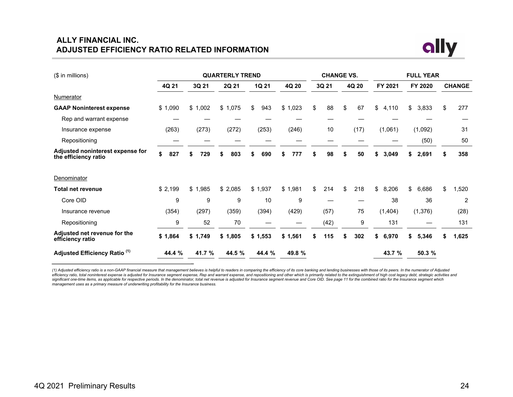## **ALLY FINANCIAL INC. ADJUSTED EFFICIENCY RATIO RELATED INFORMATION**



| (\$ in millions)                                         | <b>QUARTERLY TREND</b> |           |         |           |          | <b>CHANGE VS.</b> |      |    |       |    | <b>FULL YEAR</b> |         |          |    |                |  |  |
|----------------------------------------------------------|------------------------|-----------|---------|-----------|----------|-------------------|------|----|-------|----|------------------|---------|----------|----|----------------|--|--|
|                                                          | 4Q 21                  | 3Q 21     | 2Q 21   | 1Q 21     | 4Q 20    | 3Q 21             |      |    | 4Q 20 |    | FY 2021          | FY 2020 |          |    | <b>CHANGE</b>  |  |  |
| Numerator                                                |                        |           |         |           |          |                   |      |    |       |    |                  |         |          |    |                |  |  |
| <b>GAAP Noninterest expense</b>                          | \$1,090                | \$1,002   | \$1,075 | \$<br>943 | \$1,023  | \$                | 88   | \$ | 67    | \$ | 4,110            | \$      | 3,833    | \$ | 277            |  |  |
| Rep and warrant expense                                  |                        |           |         |           |          |                   |      |    |       |    |                  |         |          |    |                |  |  |
| Insurance expense                                        | (263)                  | (273)     | (272)   | (253)     | (246)    |                   | 10   |    | (17)  |    | (1,061)          |         | (1,092)  |    | 31             |  |  |
| Repositioning                                            |                        |           |         |           |          |                   |      |    |       |    |                  |         | (50)     |    | 50             |  |  |
| Adjusted noninterest expense for<br>the efficiency ratio | \$<br>827              | 729<br>\$ | 803     | 690<br>\$ | 777<br>S | \$                | 98   | S  | 50    | \$ | 3,049            | \$      | 2,691    |    | 358            |  |  |
| Denominator                                              |                        |           |         |           |          |                   |      |    |       |    |                  |         |          |    |                |  |  |
| Total net revenue                                        | \$2,199                | \$1,985   | \$2,085 | \$1,937   | \$1,981  | \$                | 214  | \$ | 218   | \$ | 8,206            | \$      | 6,686    | \$ | 1,520          |  |  |
| Core OID                                                 | 9                      | 9         | 9       | 10        | 9        |                   |      |    |       |    | 38               |         | 36       |    | $\overline{2}$ |  |  |
| Insurance revenue                                        | (354)                  | (297)     | (359)   | (394)     | (429)    |                   | (57) |    | 75    |    | (1, 404)         |         | (1, 376) |    | (28)           |  |  |
| Repositioning                                            | 9                      | 52        | 70      |           |          |                   | (42) |    | 9     |    | 131              |         |          |    | 131            |  |  |
| Adjusted net revenue for the<br>efficiency ratio         | \$1,864                | \$1,749   | \$1,805 | \$1,553   | \$1,561  | S.                | 115  | S  | 302   | \$ | 6,970            | \$      | 5,346    | S. | 1,625          |  |  |
| Adjusted Efficiency Ratio <sup>(1)</sup>                 | 44.4 %                 | 41.7 %    | 44.5 %  | 44.4 %    | 49.8 %   |                   |      |    |       |    | 43.7 %           |         | 50.3 %   |    |                |  |  |

(1) Adjusted efficiency ratio is a non-GAAP financial measure that management believes is helpful to readers in comparing the efficiency of its core banking and lending businesses with those of its peers. In the numerator significant one-time items, as applicable for respective periods. In the denominator, total net revenue is adjusted for Insurance segment revenue and Core OID. See page 11 for the combined ratio for the Insurance segment w